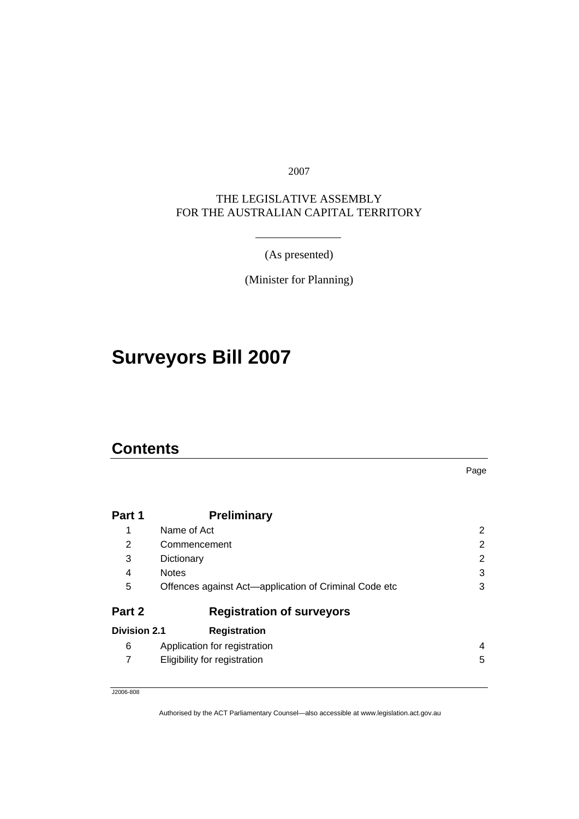2007

### THE LEGISLATIVE ASSEMBLY FOR THE AUSTRALIAN CAPITAL TERRITORY

(As presented)

(Minister for Planning)

# **Surveyors Bill 2007**

### **Contents**

Page

| Part 1              | <b>Preliminary</b>                                    |   |  |  |
|---------------------|-------------------------------------------------------|---|--|--|
| 1                   | Name of Act                                           |   |  |  |
| 2                   | 2<br>Commencement                                     |   |  |  |
| 3                   | 2<br>Dictionary                                       |   |  |  |
| 4                   | 3<br><b>Notes</b>                                     |   |  |  |
| 5                   | Offences against Act-application of Criminal Code etc |   |  |  |
| Part 2              | <b>Registration of surveyors</b>                      |   |  |  |
| <b>Division 2.1</b> | <b>Registration</b>                                   |   |  |  |
| 6                   | Application for registration                          | 4 |  |  |
| 7                   | Eligibility for registration                          | 5 |  |  |

J2006-808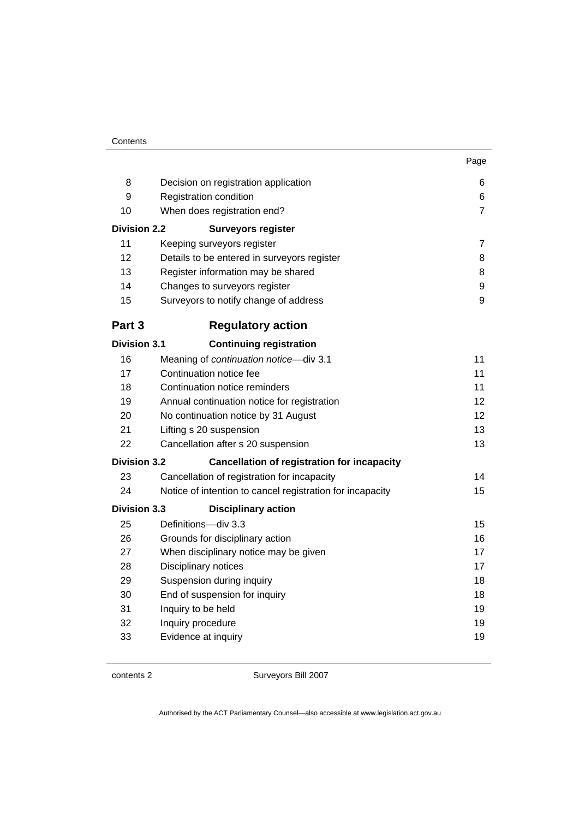|                     |                                                           | Page           |  |  |  |
|---------------------|-----------------------------------------------------------|----------------|--|--|--|
| 8                   | Decision on registration application                      | 6              |  |  |  |
| 9                   | Registration condition                                    |                |  |  |  |
| 10                  | When does registration end?                               |                |  |  |  |
| <b>Division 2.2</b> | <b>Surveyors register</b>                                 |                |  |  |  |
| 11                  | Keeping surveyors register                                | $\overline{7}$ |  |  |  |
| 12                  | Details to be entered in surveyors register               | 8              |  |  |  |
| 13                  | Register information may be shared                        | 8              |  |  |  |
| 14                  | Changes to surveyors register                             | 9              |  |  |  |
| 15                  | Surveyors to notify change of address                     | 9              |  |  |  |
| Part 3              | <b>Regulatory action</b>                                  |                |  |  |  |
| <b>Division 3.1</b> | <b>Continuing registration</b>                            |                |  |  |  |
| 16                  | Meaning of continuation notice-div 3.1                    | 11             |  |  |  |
| 17                  | Continuation notice fee<br>11                             |                |  |  |  |
| 18                  | Continuation notice reminders                             | 11             |  |  |  |
| 19                  | Annual continuation notice for registration               | 12             |  |  |  |
| 20                  | 12<br>No continuation notice by 31 August                 |                |  |  |  |
| 21                  | Lifting s 20 suspension<br>13                             |                |  |  |  |
| 22                  | Cancellation after s 20 suspension                        | 13             |  |  |  |
| <b>Division 3.2</b> | <b>Cancellation of registration for incapacity</b>        |                |  |  |  |
| 23                  | Cancellation of registration for incapacity               | 14             |  |  |  |
| 24                  | Notice of intention to cancel registration for incapacity | 15             |  |  |  |
| <b>Division 3.3</b> | <b>Disciplinary action</b>                                |                |  |  |  |
| 25                  | Definitions-div 3.3                                       | 15             |  |  |  |
| 26                  | Grounds for disciplinary action                           | 16             |  |  |  |
| 27                  | 17<br>When disciplinary notice may be given               |                |  |  |  |
| 28                  | Disciplinary notices                                      | 17             |  |  |  |
| 29                  | Suspension during inquiry                                 | 18             |  |  |  |
| 30                  | 18<br>End of suspension for inquiry                       |                |  |  |  |
| 31                  | Inquiry to be held                                        | 19             |  |  |  |
| 32                  | Inquiry procedure                                         | 19             |  |  |  |
| 33                  | Evidence at inquiry                                       | 19             |  |  |  |

contents 2 Surveyors Bill 2007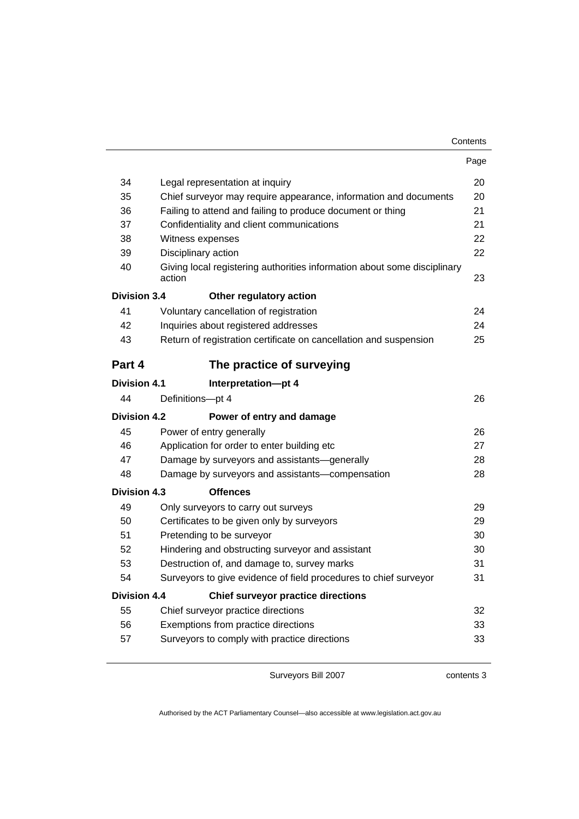| Contents |
|----------|
|----------|

|                     |                                                                                    | Page |  |
|---------------------|------------------------------------------------------------------------------------|------|--|
| 34                  | Legal representation at inquiry                                                    | 20   |  |
| 35                  | Chief surveyor may require appearance, information and documents                   |      |  |
| 36                  | Failing to attend and failing to produce document or thing                         |      |  |
| 37                  | Confidentiality and client communications                                          | 21   |  |
| 38                  | Witness expenses                                                                   | 22   |  |
| 39                  | Disciplinary action                                                                | 22   |  |
| 40                  | Giving local registering authorities information about some disciplinary<br>action | 23   |  |
| <b>Division 3.4</b> | Other regulatory action                                                            |      |  |
| 41                  | Voluntary cancellation of registration                                             | 24   |  |
| 42                  | Inquiries about registered addresses                                               | 24   |  |
| 43                  | Return of registration certificate on cancellation and suspension                  | 25   |  |
| Part 4              | The practice of surveying                                                          |      |  |
| <b>Division 4.1</b> | Interpretation-pt 4                                                                |      |  |
| 44                  | Definitions-pt 4                                                                   | 26   |  |
| <b>Division 4.2</b> | Power of entry and damage                                                          |      |  |
| 45                  | Power of entry generally<br>26                                                     |      |  |
| 46                  | Application for order to enter building etc<br>27                                  |      |  |
| 47                  | Damage by surveyors and assistants-generally                                       | 28   |  |
| 48                  | Damage by surveyors and assistants-compensation                                    | 28   |  |
| <b>Division 4.3</b> | <b>Offences</b>                                                                    |      |  |
| 49                  | Only surveyors to carry out surveys                                                | 29   |  |
| 50                  | Certificates to be given only by surveyors                                         | 29   |  |
| 51                  | Pretending to be surveyor<br>30                                                    |      |  |
| 52                  | Hindering and obstructing surveyor and assistant<br>30                             |      |  |
| 53                  | 31<br>Destruction of, and damage to, survey marks                                  |      |  |
| 54                  | Surveyors to give evidence of field procedures to chief surveyor                   | 31   |  |
| Division 4.4        | <b>Chief surveyor practice directions</b>                                          |      |  |
| 55                  | Chief surveyor practice directions                                                 | 32   |  |
| 56                  | Exemptions from practice directions<br>33                                          |      |  |
| 57                  | Surveyors to comply with practice directions                                       | 33   |  |

contents 3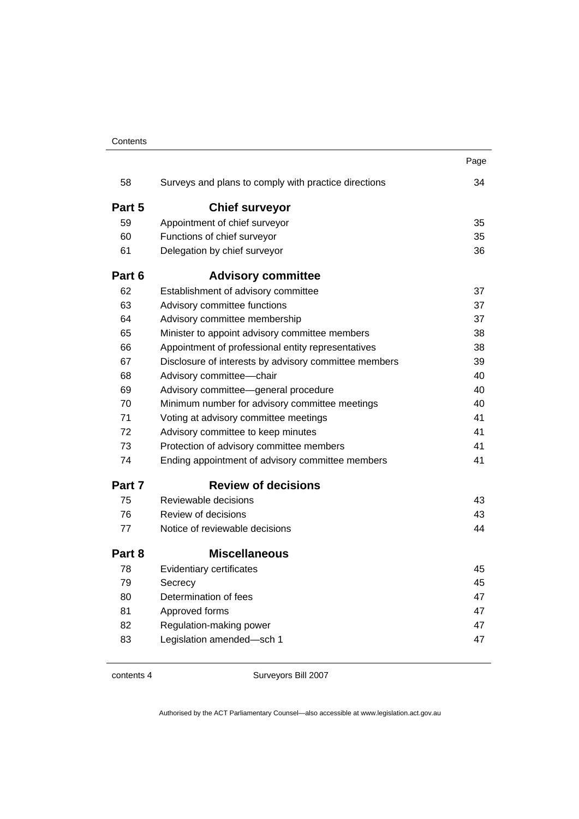| Contents |
|----------|
|----------|

|        |                                                       | Page |  |  |
|--------|-------------------------------------------------------|------|--|--|
| 58     | Surveys and plans to comply with practice directions  | 34   |  |  |
| Part 5 | <b>Chief surveyor</b>                                 |      |  |  |
| 59     | Appointment of chief surveyor                         | 35   |  |  |
| 60     | Functions of chief surveyor                           | 35   |  |  |
| 61     | Delegation by chief surveyor                          | 36   |  |  |
| Part 6 | <b>Advisory committee</b>                             |      |  |  |
| 62     | Establishment of advisory committee                   | 37   |  |  |
| 63     | Advisory committee functions                          | 37   |  |  |
| 64     | Advisory committee membership                         | 37   |  |  |
| 65     | Minister to appoint advisory committee members        | 38   |  |  |
| 66     | Appointment of professional entity representatives    | 38   |  |  |
| 67     | Disclosure of interests by advisory committee members | 39   |  |  |
| 68     | Advisory committee-chair                              | 40   |  |  |
| 69     | Advisory committee-general procedure                  |      |  |  |
| 70     | Minimum number for advisory committee meetings        |      |  |  |
| 71     | Voting at advisory committee meetings                 |      |  |  |
| 72     | Advisory committee to keep minutes                    |      |  |  |
| 73     | Protection of advisory committee members              | 41   |  |  |
| 74     | Ending appointment of advisory committee members      | 41   |  |  |
| Part 7 | <b>Review of decisions</b>                            |      |  |  |
| 75     | Reviewable decisions                                  | 43   |  |  |
| 76     | Review of decisions                                   | 43   |  |  |
| 77     | Notice of reviewable decisions                        | 44   |  |  |
| Part 8 | <b>Miscellaneous</b>                                  |      |  |  |
| 78     | Evidentiary certificates                              | 45   |  |  |
| 79     | Secrecy                                               | 45   |  |  |
| 80     | Determination of fees                                 | 47   |  |  |
| 81     | Approved forms                                        | 47   |  |  |
| 82     | Regulation-making power                               | 47   |  |  |
| 83     | Legislation amended-sch 1                             | 47   |  |  |

contents 4 Surveyors Bill 2007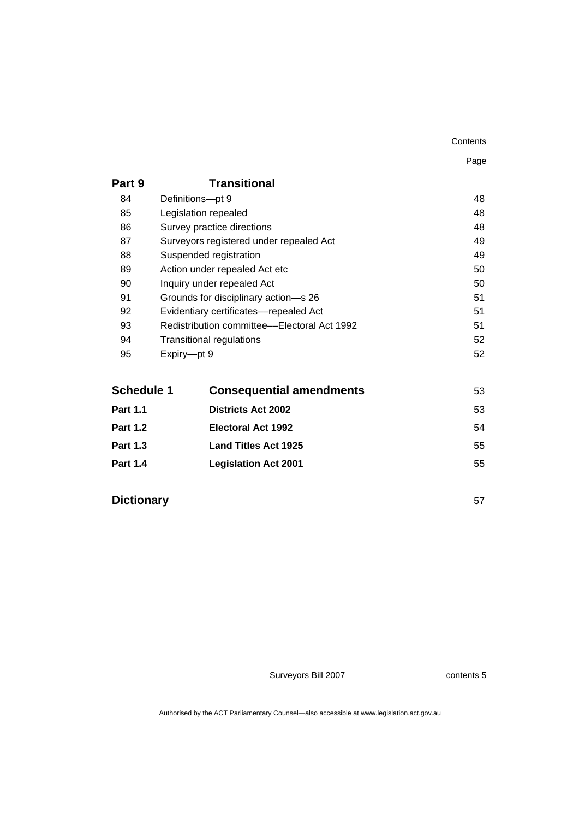Page

| Part 9 | <b>Transitional</b>                         |    |
|--------|---------------------------------------------|----|
| 84     | Definitions-pt 9                            | 48 |
| 85     | Legislation repealed                        | 48 |
| 86     | Survey practice directions                  | 48 |
| 87     | Surveyors registered under repealed Act     | 49 |
| 88     | Suspended registration                      | 49 |
| 89     | Action under repealed Act etc               | 50 |
| 90     | Inquiry under repealed Act                  | 50 |
| 91     | Grounds for disciplinary action-s 26        | 51 |
| 92     | Evidentiary certificates-repealed Act       | 51 |
| 93     | Redistribution committee—Electoral Act 1992 | 51 |
| 94     | <b>Transitional regulations</b>             | 52 |
| 95     | Expiry-pt 9                                 | 52 |
|        |                                             |    |

| Schedule 1      | <b>Consequential amendments</b> | 53 |
|-----------------|---------------------------------|----|
| <b>Part 1.1</b> | <b>Districts Act 2002</b>       | 53 |
| <b>Part 1.2</b> | <b>Electoral Act 1992</b>       | 54 |
| <b>Part 1.3</b> | <b>Land Titles Act 1925</b>     | 55 |
| <b>Part 1.4</b> | <b>Legislation Act 2001</b>     | 55 |

**Dictionary** 57

Surveyors Bill 2007

contents 5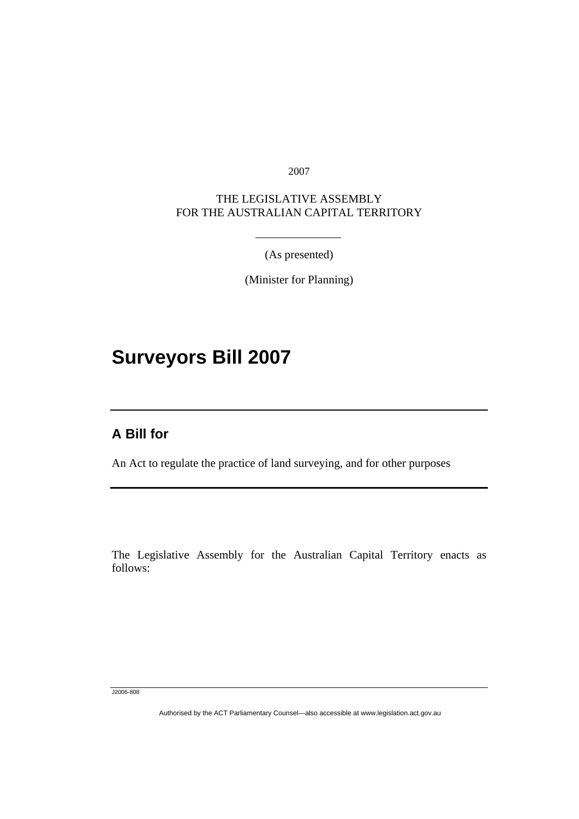2007

### THE LEGISLATIVE ASSEMBLY FOR THE AUSTRALIAN CAPITAL TERRITORY

(As presented)

(Minister for Planning)

# **Surveyors Bill 2007**

### **A Bill for**

l

An Act to regulate the practice of land surveying, and for other purposes

The Legislative Assembly for the Australian Capital Territory enacts as follows:

J2006-808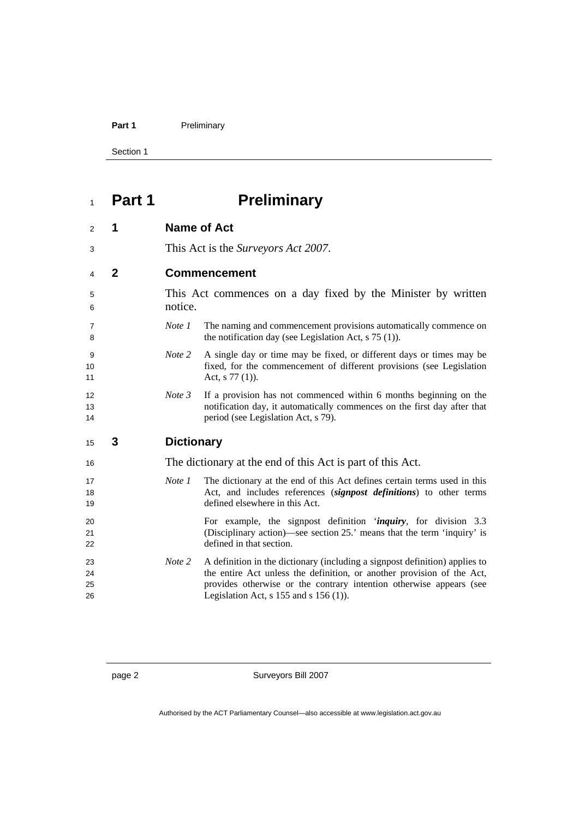#### Part 1 **Preliminary**

Section 1

# **Part 1 Preliminary**

| 2                    | 1            | <b>Name of Act</b>                                                      |                                                                                                                                                                                                                                                                            |  |
|----------------------|--------------|-------------------------------------------------------------------------|----------------------------------------------------------------------------------------------------------------------------------------------------------------------------------------------------------------------------------------------------------------------------|--|
| 3                    |              | This Act is the <i>Surveyors Act 2007</i> .                             |                                                                                                                                                                                                                                                                            |  |
| 4                    | $\mathbf{2}$ | <b>Commencement</b>                                                     |                                                                                                                                                                                                                                                                            |  |
| 5<br>6               |              | This Act commences on a day fixed by the Minister by written<br>notice. |                                                                                                                                                                                                                                                                            |  |
| $\overline{7}$<br>8  |              | Note 1                                                                  | The naming and commencement provisions automatically commence on<br>the notification day (see Legislation Act, $s$ 75 (1)).                                                                                                                                                |  |
| 9<br>10<br>11        |              | Note 2                                                                  | A single day or time may be fixed, or different days or times may be<br>fixed, for the commencement of different provisions (see Legislation<br>Act, $s$ 77 (1)).                                                                                                          |  |
| 12<br>13<br>14       |              | Note 3                                                                  | If a provision has not commenced within 6 months beginning on the<br>notification day, it automatically commences on the first day after that<br>period (see Legislation Act, s 79).                                                                                       |  |
| 15                   | 3            | <b>Dictionary</b>                                                       |                                                                                                                                                                                                                                                                            |  |
| 16                   |              | The dictionary at the end of this Act is part of this Act.              |                                                                                                                                                                                                                                                                            |  |
| 17<br>18<br>19       |              | Note 1                                                                  | The dictionary at the end of this Act defines certain terms used in this<br>Act, and includes references (signpost definitions) to other terms<br>defined elsewhere in this Act.                                                                                           |  |
| 20<br>21<br>22       |              |                                                                         | For example, the signpost definition ' <i>inquiry</i> , for division 3.3<br>(Disciplinary action)—see section 25.' means that the term 'inquiry' is<br>defined in that section.                                                                                            |  |
| 23<br>24<br>25<br>26 |              | Note 2                                                                  | A definition in the dictionary (including a signpost definition) applies to<br>the entire Act unless the definition, or another provision of the Act,<br>provides otherwise or the contrary intention otherwise appears (see<br>Legislation Act, $s$ 155 and $s$ 156 (1)). |  |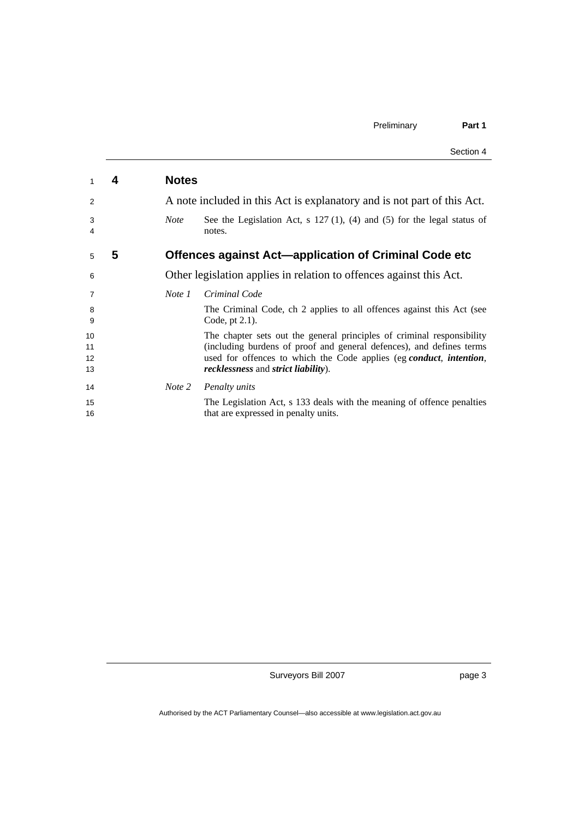|          |   |              | Section 4                                                                                                                                   |
|----------|---|--------------|---------------------------------------------------------------------------------------------------------------------------------------------|
| 1        | 4 | <b>Notes</b> |                                                                                                                                             |
| 2        |   |              | A note included in this Act is explanatory and is not part of this Act.                                                                     |
| 3<br>4   |   | <b>Note</b>  | See the Legislation Act, s $127(1)$ , (4) and (5) for the legal status of<br>notes.                                                         |
| 5        | 5 |              | <b>Offences against Act-application of Criminal Code etc</b>                                                                                |
| 6        |   |              | Other legislation applies in relation to offences against this Act.                                                                         |
| 7        |   | Note 1       | Criminal Code                                                                                                                               |
| 8<br>9   |   |              | The Criminal Code, ch 2 applies to all offences against this Act (see<br>Code, pt $2.1$ ).                                                  |
| 10       |   |              | The chapter sets out the general principles of criminal responsibility                                                                      |
| 11<br>12 |   |              | (including burdens of proof and general defences), and defines terms<br>used for offences to which the Code applies (eg conduct, intention, |
| 13       |   |              | recklessness and strict liability).                                                                                                         |
| 14       |   | Note 2       | Penalty units                                                                                                                               |
| 15       |   |              | The Legislation Act, s 133 deals with the meaning of offence penalties                                                                      |
| 16       |   |              | that are expressed in penalty units.                                                                                                        |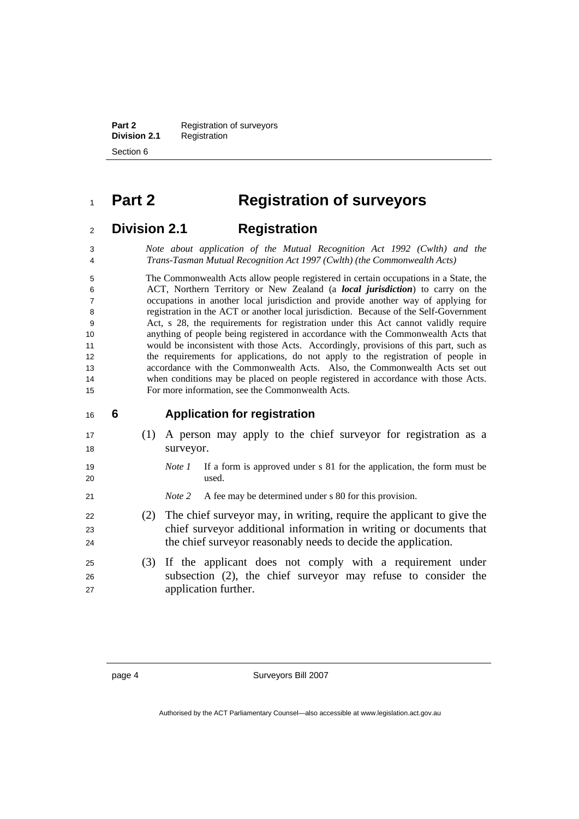**Part 2 Registration of surveyors Division 2.1** Registration Section 6

### **Part 2 Registration of surveyors**

### **Division 2.1 Registration**

*Note about application of the Mutual Recognition Act 1992 (Cwlth) and the Trans-Tasman Mutual Recognition Act 1997 (Cwlth) (the Commonwealth Acts)*

The Commonwealth Acts allow people registered in certain occupations in a State, the ACT, Northern Territory or New Zealand (a *local jurisdiction*) to carry on the occupations in another local jurisdiction and provide another way of applying for registration in the ACT or another local jurisdiction. Because of the Self-Government Act, s 28, the requirements for registration under this Act cannot validly require anything of people being registered in accordance with the Commonwealth Acts that would be inconsistent with those Acts. Accordingly, provisions of this part, such as the requirements for applications, do not apply to the registration of people in accordance with the Commonwealth Acts. Also, the Commonwealth Acts set out when conditions may be placed on people registered in accordance with those Acts. For more information, see the Commonwealth Acts.

#### **6 Application for registration**

- (1) A person may apply to the chief surveyor for registration as a 18 surveyor.
- *Note 1* If a form is approved under s 81 for the application, the form must be used.
- *Note 2* A fee may be determined under s 80 for this provision.
- (2) The chief surveyor may, in writing, require the applicant to give the chief surveyor additional information in writing or documents that 24 the chief surveyor reasonably needs to decide the application.
- (3) If the applicant does not comply with a requirement under subsection (2), the chief surveyor may refuse to consider the application further.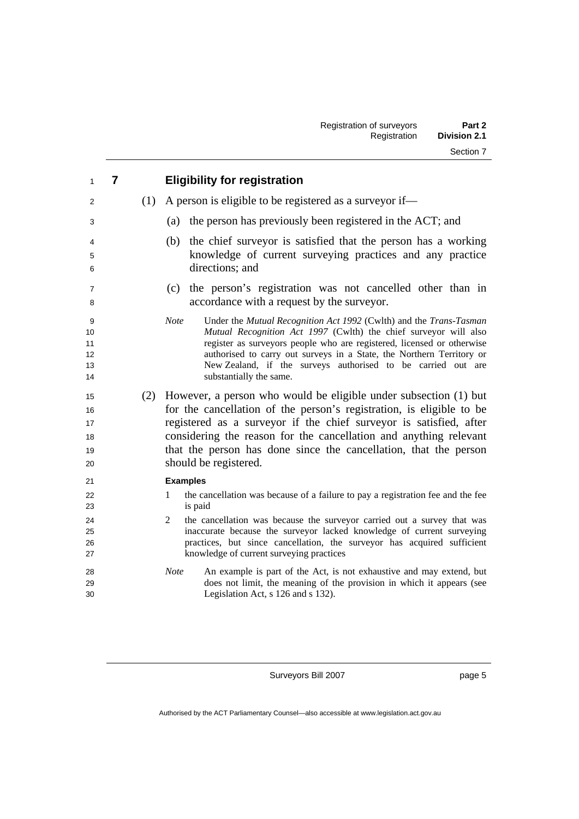| 1                                      | $\overline{7}$ |     | <b>Eligibility for registration</b>                                                                                                                                                                                                                                                                                                                                                                 |
|----------------------------------------|----------------|-----|-----------------------------------------------------------------------------------------------------------------------------------------------------------------------------------------------------------------------------------------------------------------------------------------------------------------------------------------------------------------------------------------------------|
| 2                                      |                | (1) | A person is eligible to be registered as a survey or if—                                                                                                                                                                                                                                                                                                                                            |
| 3                                      |                |     | the person has previously been registered in the ACT; and<br>(a)                                                                                                                                                                                                                                                                                                                                    |
| 4<br>5<br>6                            |                |     | the chief surveyor is satisfied that the person has a working<br>(b)<br>knowledge of current surveying practices and any practice<br>directions; and                                                                                                                                                                                                                                                |
| 7<br>8                                 |                |     | the person's registration was not cancelled other than in<br>(c)<br>accordance with a request by the surveyor.                                                                                                                                                                                                                                                                                      |
| 9<br>10<br>11<br>12<br>13<br>14        |                |     | <b>Note</b><br>Under the Mutual Recognition Act 1992 (Cwlth) and the Trans-Tasman<br>Mutual Recognition Act 1997 (Cwlth) the chief surveyor will also<br>register as surveyors people who are registered, licensed or otherwise<br>authorised to carry out surveys in a State, the Northern Territory or<br>New Zealand, if the surveys authorised to be carried out are<br>substantially the same. |
| 15<br>16<br>17<br>18<br>19<br>20       |                |     | (2) However, a person who would be eligible under subsection (1) but<br>for the cancellation of the person's registration, is eligible to be<br>registered as a surveyor if the chief surveyor is satisfied, after<br>considering the reason for the cancellation and anything relevant<br>that the person has done since the cancellation, that the person<br>should be registered.                |
| 21<br>22<br>23<br>24<br>25<br>26<br>27 |                |     | <b>Examples</b><br>the cancellation was because of a failure to pay a registration fee and the fee<br>1<br>is paid<br>2<br>the cancellation was because the surveyor carried out a survey that was<br>inaccurate because the surveyor lacked knowledge of current surveying<br>practices, but since cancellation, the surveyor has acquired sufficient<br>knowledge of current surveying practices  |
| 28<br>29<br>30                         |                |     | <b>Note</b><br>An example is part of the Act, is not exhaustive and may extend, but<br>does not limit, the meaning of the provision in which it appears (see<br>Legislation Act, s 126 and s 132).                                                                                                                                                                                                  |

page 5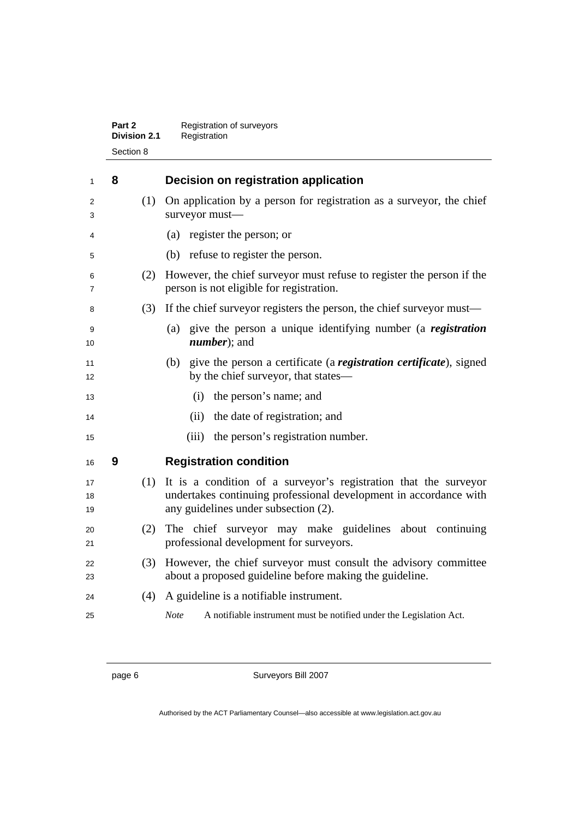| Part 2              | Registration of surveyors |
|---------------------|---------------------------|
| <b>Division 2.1</b> | Registration              |
| Section 8           |                           |

| 1              | 8 |     | Decision on registration application                                                                                                                                          |
|----------------|---|-----|-------------------------------------------------------------------------------------------------------------------------------------------------------------------------------|
| 2<br>3         |   | (1) | On application by a person for registration as a surveyor, the chief<br>surveyor must-                                                                                        |
| 4              |   |     | (a) register the person; or                                                                                                                                                   |
| 5              |   |     | (b) refuse to register the person.                                                                                                                                            |
| 6<br>7         |   | (2) | However, the chief surveyor must refuse to register the person if the<br>person is not eligible for registration.                                                             |
| 8              |   | (3) | If the chief surveyor registers the person, the chief surveyor must—                                                                                                          |
| 9<br>10        |   |     | (a) give the person a unique identifying number (a registration<br><i>number</i> ); and                                                                                       |
| 11<br>12       |   |     | (b) give the person a certificate (a registration certificate), signed<br>by the chief surveyor, that states—                                                                 |
| 13             |   |     | the person's name; and<br>(i)                                                                                                                                                 |
| 14             |   |     | the date of registration; and<br>(ii)                                                                                                                                         |
| 15             |   |     | (iii)<br>the person's registration number.                                                                                                                                    |
| 16             | 9 |     | <b>Registration condition</b>                                                                                                                                                 |
| 17<br>18<br>19 |   | (1) | It is a condition of a surveyor's registration that the surveyor<br>undertakes continuing professional development in accordance with<br>any guidelines under subsection (2). |
| 20<br>21       |   | (2) | The chief surveyor may make guidelines about continuing<br>professional development for surveyors.                                                                            |
| 22<br>23       |   | (3) | However, the chief surveyor must consult the advisory committee<br>about a proposed guideline before making the guideline.                                                    |
| 24             |   | (4) | A guideline is a notifiable instrument.                                                                                                                                       |
| 25             |   |     | <b>Note</b><br>A notifiable instrument must be notified under the Legislation Act.                                                                                            |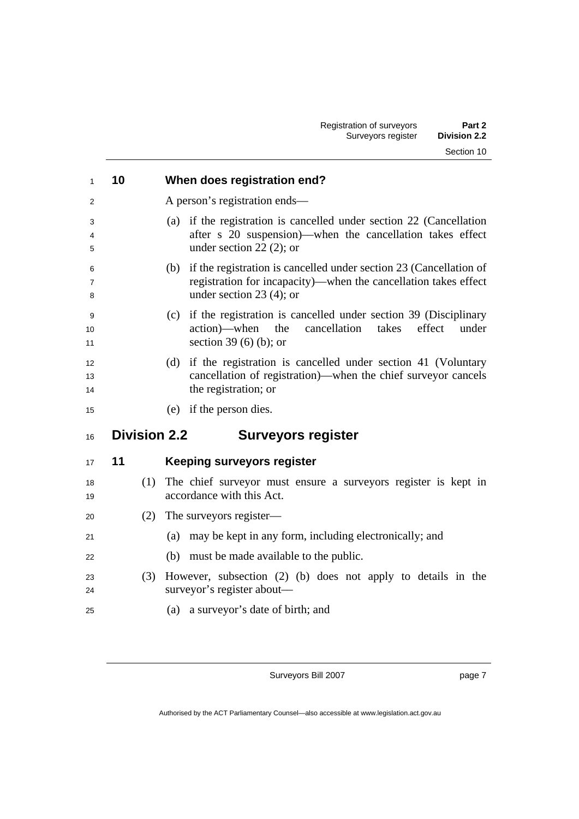| 1              | 10                  | When does registration end?                                                                                                                                                 |
|----------------|---------------------|-----------------------------------------------------------------------------------------------------------------------------------------------------------------------------|
| 2              |                     | A person's registration ends—                                                                                                                                               |
| 3<br>4<br>5    |                     | if the registration is cancelled under section 22 (Cancellation<br>(a)<br>after s 20 suspension)—when the cancellation takes effect<br>under section 22 $(2)$ ; or          |
| 6<br>7<br>8    |                     | if the registration is cancelled under section 23 (Cancellation of<br>(b)<br>registration for incapacity)—when the cancellation takes effect<br>under section 23 $(4)$ ; or |
| 9<br>10<br>11  |                     | if the registration is cancelled under section 39 (Disciplinary<br>(c)<br>cancellation<br>action)—when<br>the<br>takes<br>effect<br>under<br>section 39 $(6)$ $(b)$ ; or    |
| 12<br>13<br>14 |                     | if the registration is cancelled under section 41 (Voluntary<br>(d)<br>cancellation of registration)—when the chief surveyor cancels<br>the registration; or                |
| 15             |                     | (e) if the person dies.                                                                                                                                                     |
| 16             | <b>Division 2.2</b> | <b>Surveyors register</b>                                                                                                                                                   |
| 17             | 11                  | <b>Keeping surveyors register</b>                                                                                                                                           |
| 18<br>19       | (1)                 | The chief surveyor must ensure a surveyors register is kept in<br>accordance with this Act.                                                                                 |
| 20             | (2)                 | The surveyors register—                                                                                                                                                     |
| 21             |                     | may be kept in any form, including electronically; and<br>(a)                                                                                                               |
| 22             |                     | (b)<br>must be made available to the public.                                                                                                                                |
| 23<br>24       | (3)                 | However, subsection (2) (b) does not apply to details in the<br>surveyor's register about—                                                                                  |
| 25             |                     | (a) a surveyor's date of birth; and                                                                                                                                         |

page 7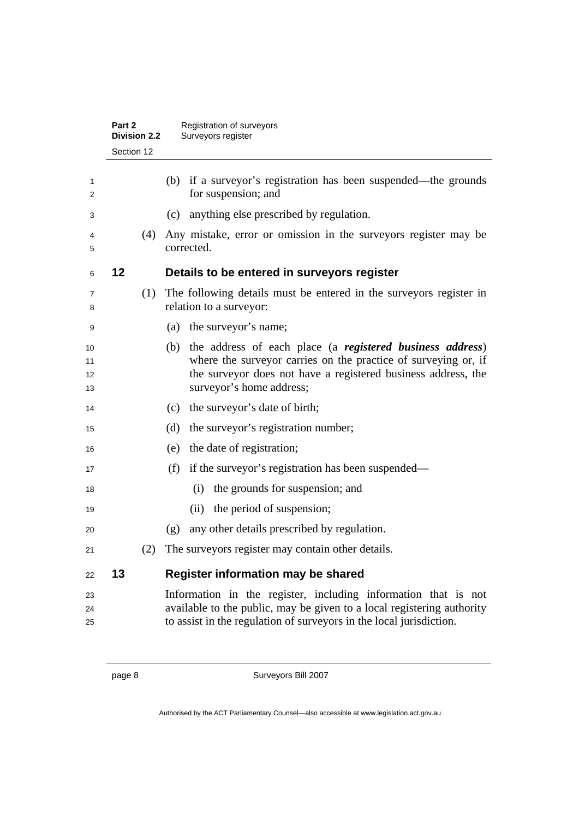|                      | Part 2<br><b>Division 2.2</b> |     | Registration of surveyors<br>Surveyors register                                                                                                                                                                                 |
|----------------------|-------------------------------|-----|---------------------------------------------------------------------------------------------------------------------------------------------------------------------------------------------------------------------------------|
|                      | Section 12                    |     |                                                                                                                                                                                                                                 |
| 1<br>2               |                               |     | (b) if a surveyor's registration has been suspended—the grounds<br>for suspension; and                                                                                                                                          |
| 3                    |                               |     | anything else prescribed by regulation.<br>(c)                                                                                                                                                                                  |
| 4<br>5               |                               | (4) | Any mistake, error or omission in the surveyors register may be<br>corrected.                                                                                                                                                   |
| 6                    | 12                            |     | Details to be entered in surveyors register                                                                                                                                                                                     |
| 7<br>8               |                               | (1) | The following details must be entered in the surveyors register in<br>relation to a surveyor:                                                                                                                                   |
| 9                    |                               |     | the surveyor's name;<br>(a)                                                                                                                                                                                                     |
| 10<br>11<br>12<br>13 |                               |     | the address of each place (a registered business address)<br>(b)<br>where the surveyor carries on the practice of surveying or, if<br>the surveyor does not have a registered business address, the<br>surveyor's home address; |
| 14                   |                               |     | the surveyor's date of birth;<br>(c)                                                                                                                                                                                            |
| 15                   |                               |     | the surveyor's registration number;<br>(d)                                                                                                                                                                                      |
| 16                   |                               |     | the date of registration;<br>(e)                                                                                                                                                                                                |
| 17                   |                               |     | if the surveyor's registration has been suspended—<br>(f)                                                                                                                                                                       |
| 18                   |                               |     | the grounds for suspension; and<br>(i)                                                                                                                                                                                          |
| 19                   |                               |     | the period of suspension;<br>(ii)                                                                                                                                                                                               |
| 20                   |                               |     | any other details prescribed by regulation.<br>(g)                                                                                                                                                                              |
| 21                   |                               | (2) | The surveyors register may contain other details.                                                                                                                                                                               |
| 22                   | 13                            |     | Register information may be shared                                                                                                                                                                                              |
| 23<br>24<br>25       |                               |     | Information in the register, including information that is not<br>available to the public, may be given to a local registering authority<br>to assist in the regulation of surveyors in the local jurisdiction.                 |
|                      |                               |     |                                                                                                                                                                                                                                 |

page 8 Surveyors Bill 2007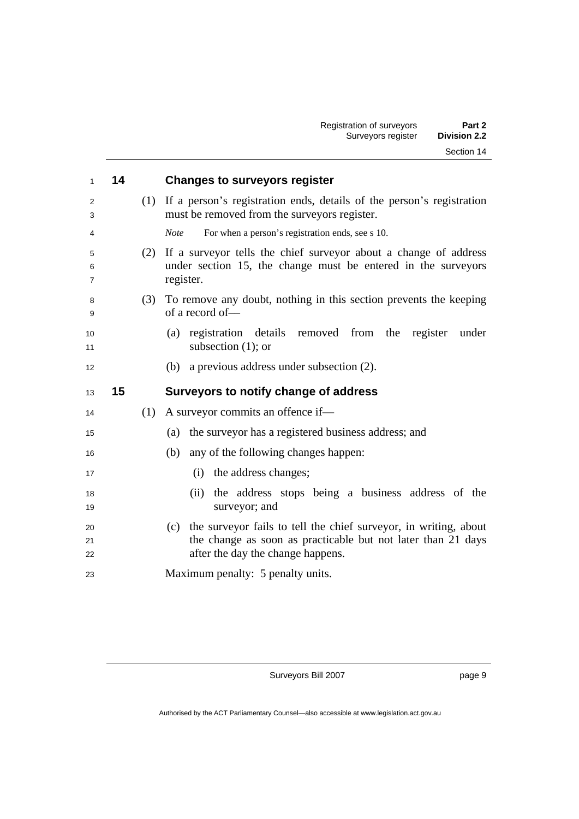| 1              | 14 |     | <b>Changes to surveyors register</b>                                                                                                                                         |
|----------------|----|-----|------------------------------------------------------------------------------------------------------------------------------------------------------------------------------|
| 2<br>3         |    | (1) | If a person's registration ends, details of the person's registration<br>must be removed from the surveyors register.                                                        |
| 4              |    |     | <b>Note</b><br>For when a person's registration ends, see s 10.                                                                                                              |
| 5<br>6<br>7    |    | (2) | If a surveyor tells the chief surveyor about a change of address<br>under section 15, the change must be entered in the surveyors<br>register.                               |
| 8<br>9         |    | (3) | To remove any doubt, nothing in this section prevents the keeping<br>of a record of-                                                                                         |
| 10<br>11       |    |     | (a) registration details removed from the<br>register<br>under<br>subsection $(1)$ ; or                                                                                      |
| 12             |    |     | (b) a previous address under subsection $(2)$ .                                                                                                                              |
| 13             | 15 |     | Surveyors to notify change of address                                                                                                                                        |
|                |    |     |                                                                                                                                                                              |
| 14             |    | (1) | A surveyor commits an offence if—                                                                                                                                            |
| 15             |    |     | (a) the survey or has a registered business address; and                                                                                                                     |
| 16             |    |     | any of the following changes happen:<br>(b)                                                                                                                                  |
| 17             |    |     | the address changes;<br>(i)                                                                                                                                                  |
| 18<br>19       |    |     | the address stops being a business address of the<br>(ii)<br>surveyor; and                                                                                                   |
| 20<br>21<br>22 |    |     | the surveyor fails to tell the chief surveyor, in writing, about<br>(c)<br>the change as soon as practicable but not later than 21 days<br>after the day the change happens. |

page 9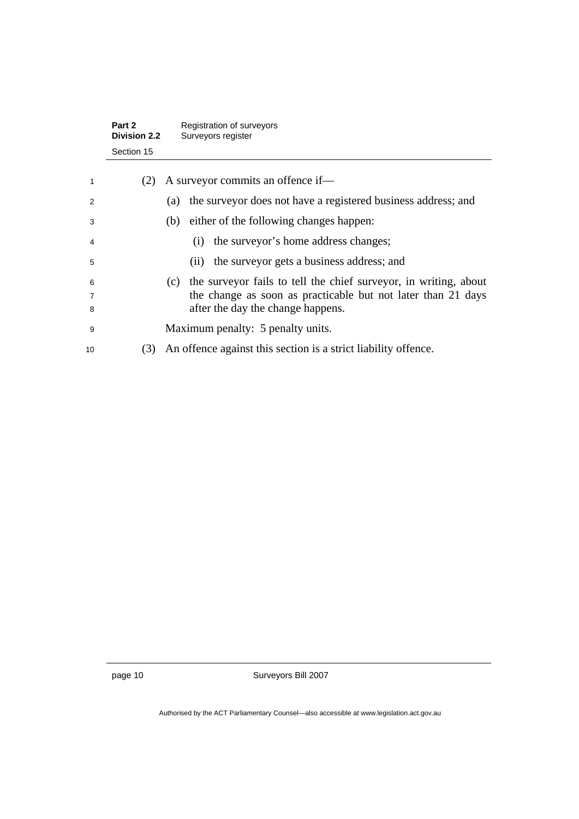|             | Part 2<br><b>Division 2.2</b> | Registration of surveyors<br>Surveyors register                                                                                                                           |
|-------------|-------------------------------|---------------------------------------------------------------------------------------------------------------------------------------------------------------------------|
|             | Section 15                    |                                                                                                                                                                           |
| 1           | (2)                           | A surveyor commits an offence if—                                                                                                                                         |
| 2           |                               | the surveyor does not have a registered business address; and<br>(a)                                                                                                      |
| 3           |                               | either of the following changes happen:<br>(b)                                                                                                                            |
| 4           |                               | the surveyor's home address changes;<br>(1)                                                                                                                               |
| 5           |                               | the surveyor gets a business address; and<br>(i)                                                                                                                          |
| 6<br>7<br>8 |                               | (c) the surveyor fails to tell the chief surveyor, in writing, about<br>the change as soon as practicable but not later than 21 days<br>after the day the change happens. |
| 9           |                               | Maximum penalty: 5 penalty units.                                                                                                                                         |
| 10          | (3)                           | An offence against this section is a strict liability offence.                                                                                                            |

page 10 Surveyors Bill 2007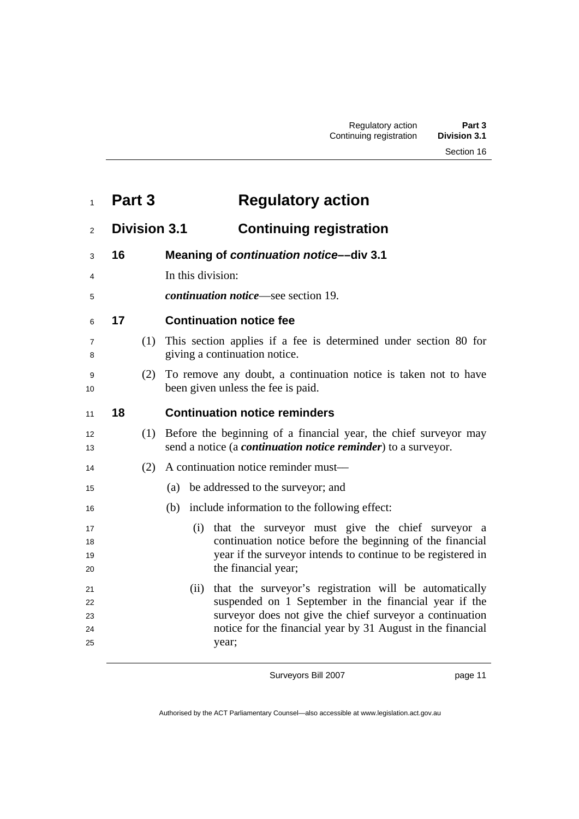# **Part 3 Regulatory action**

### **Division 3.1 Continuing registration**

- **16 Meaning of** *continuation notice***––div 3.1**
- 4 In this division:
- *continuation notice*—see section 19.

### **17 Continuation notice fee**

- (1) This section applies if a fee is determined under section 80 for giving a continuation notice.
- (2) To remove any doubt, a continuation notice is taken not to have 10 been given unless the fee is paid.

#### **18 Continuation notice reminders**

- (1) Before the beginning of a financial year, the chief surveyor may send a notice (a *continuation notice reminder*) to a surveyor.
- (2) A continuation notice reminder must––
- (a) be addressed to the surveyor; and
- (b) include information to the following effect:
- (i) that the surveyor must give the chief surveyor a continuation notice before the beginning of the financial year if the surveyor intends to continue to be registered in 20 the financial year;
- (ii) that the surveyor's registration will be automatically suspended on 1 September in the financial year if the surveyor does not give the chief surveyor a continuation notice for the financial year by 31 August in the financial year;

Surveyors Bill 2007

page 11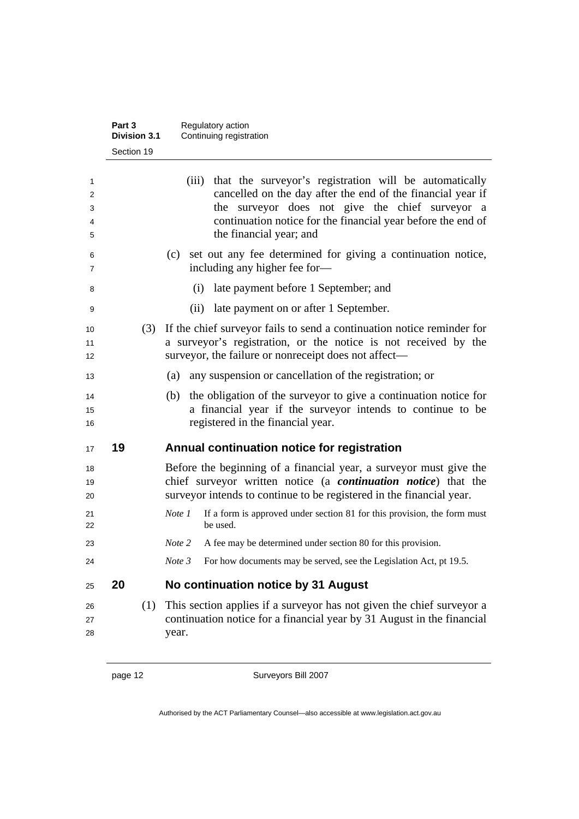|                       | Part 3<br><b>Division 3.1</b> | Regulatory action<br>Continuing registration                                                                                                                                                                                                                              |
|-----------------------|-------------------------------|---------------------------------------------------------------------------------------------------------------------------------------------------------------------------------------------------------------------------------------------------------------------------|
|                       | Section 19                    |                                                                                                                                                                                                                                                                           |
| 1<br>2<br>3<br>4<br>5 |                               | (iii) that the surveyor's registration will be automatically<br>cancelled on the day after the end of the financial year if<br>the surveyor does not give the chief surveyor a<br>continuation notice for the financial year before the end of<br>the financial year; and |
| 6<br>7                |                               | set out any fee determined for giving a continuation notice,<br>(c)<br>including any higher fee for-                                                                                                                                                                      |
| 8                     |                               | late payment before 1 September; and<br>(i)                                                                                                                                                                                                                               |
| 9                     |                               | late payment on or after 1 September.<br>(ii)                                                                                                                                                                                                                             |
| 10<br>11<br>12        |                               | (3) If the chief surveyor fails to send a continuation notice reminder for<br>a surveyor's registration, or the notice is not received by the<br>surveyor, the failure or nonreceipt does not affect—                                                                     |
| 13                    |                               | (a) any suspension or cancellation of the registration; or                                                                                                                                                                                                                |
| 14<br>15<br>16        |                               | the obligation of the surveyor to give a continuation notice for<br>(b)<br>a financial year if the surveyor intends to continue to be<br>registered in the financial year.                                                                                                |
| 17                    | 19                            | Annual continuation notice for registration                                                                                                                                                                                                                               |
| 18<br>19<br>20        |                               | Before the beginning of a financial year, a surveyor must give the<br>chief surveyor written notice (a <i>continuation notice</i> ) that the<br>surveyor intends to continue to be registered in the financial year.                                                      |
| 21<br>22              |                               | If a form is approved under section 81 for this provision, the form must<br>Note 1<br>be used.                                                                                                                                                                            |
| 23                    |                               | A fee may be determined under section 80 for this provision.<br>Note 2                                                                                                                                                                                                    |
| 24                    |                               | Note 3<br>For how documents may be served, see the Legislation Act, pt 19.5.                                                                                                                                                                                              |
| 25                    | 20                            | No continuation notice by 31 August                                                                                                                                                                                                                                       |
| 26<br>27<br>28        | (1)                           | This section applies if a surveyor has not given the chief surveyor a<br>continuation notice for a financial year by 31 August in the financial<br>year.                                                                                                                  |

page 12 Surveyors Bill 2007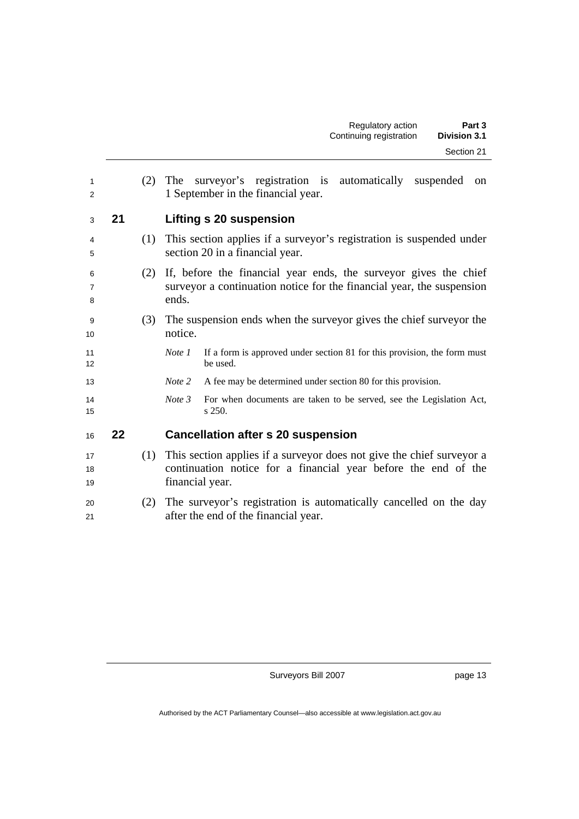| 1<br>$\overline{2}$ |    | (2) | The surveyor's registration is automatically suspended<br>on<br>1 September in the financial year.                                                         |  |  |  |  |  |
|---------------------|----|-----|------------------------------------------------------------------------------------------------------------------------------------------------------------|--|--|--|--|--|
| 3                   | 21 |     | <b>Lifting s 20 suspension</b>                                                                                                                             |  |  |  |  |  |
| 4<br>5              |    | (1) | This section applies if a surveyor's registration is suspended under<br>section 20 in a financial year.                                                    |  |  |  |  |  |
| 6<br>7<br>8         |    | (2) | If, before the financial year ends, the surveyor gives the chief<br>surveyor a continuation notice for the financial year, the suspension<br>ends.         |  |  |  |  |  |
| 9<br>10             |    | (3) | The suspension ends when the surveyor gives the chief surveyor the<br>notice.                                                                              |  |  |  |  |  |
| 11<br>12            |    |     | If a form is approved under section 81 for this provision, the form must<br>Note 1<br>be used.                                                             |  |  |  |  |  |
| 13                  |    |     | Note 2<br>A fee may be determined under section 80 for this provision.                                                                                     |  |  |  |  |  |
| 14<br>15            |    |     | Note 3<br>For when documents are taken to be served, see the Legislation Act,<br>s 250.                                                                    |  |  |  |  |  |
| 16                  | 22 |     | <b>Cancellation after s 20 suspension</b>                                                                                                                  |  |  |  |  |  |
| 17<br>18<br>19      |    | (1) | This section applies if a surveyor does not give the chief surveyor a<br>continuation notice for a financial year before the end of the<br>financial year. |  |  |  |  |  |
| 20<br>21            |    | (2) | The surveyor's registration is automatically cancelled on the day<br>after the end of the financial year.                                                  |  |  |  |  |  |

page 13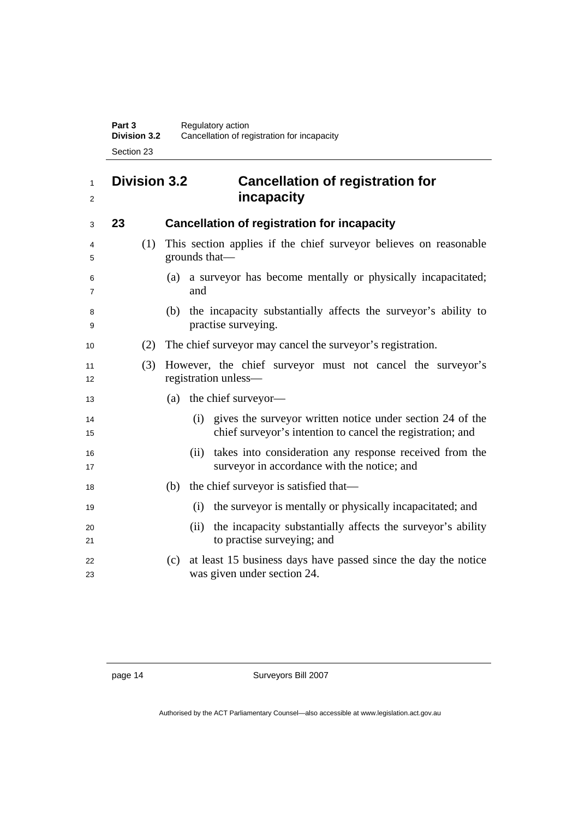**Part 3 Regulatory action Division 3.2** Cancellation of registration for incapacity Section 23

### **Division 3.2 Cancellation of registration for incapacity**

| 3        | 23 |     | <b>Cancellation of registration for incapacity</b>                                                                             |
|----------|----|-----|--------------------------------------------------------------------------------------------------------------------------------|
| 4<br>5   |    | (1) | This section applies if the chief surveyor believes on reasonable<br>grounds that—                                             |
| 6<br>7   |    |     | a surveyor has become mentally or physically incapacitated;<br>(a)<br>and                                                      |
| 8<br>9   |    |     | the incapacity substantially affects the surveyor's ability to<br>(b)<br>practise surveying.                                   |
| 10       |    | (2) | The chief surveyor may cancel the surveyor's registration.                                                                     |
| 11<br>12 |    | (3) | However, the chief surveyor must not cancel the surveyor's<br>registration unless—                                             |
| 13       |    |     | (a) the chief surveyor—                                                                                                        |
| 14<br>15 |    |     | gives the surveyor written notice under section 24 of the<br>(i)<br>chief surveyor's intention to cancel the registration; and |
| 16<br>17 |    |     | takes into consideration any response received from the<br>(ii)<br>surveyor in accordance with the notice; and                 |
| 18       |    |     | the chief surveyor is satisfied that—<br>(b)                                                                                   |
| 19       |    |     | the surveyor is mentally or physically incapacitated; and<br>(i)                                                               |
| 20<br>21 |    |     | the incapacity substantially affects the surveyor's ability<br>(i)<br>to practise surveying; and                               |
| 22<br>23 |    |     | at least 15 business days have passed since the day the notice<br>(c)<br>was given under section 24.                           |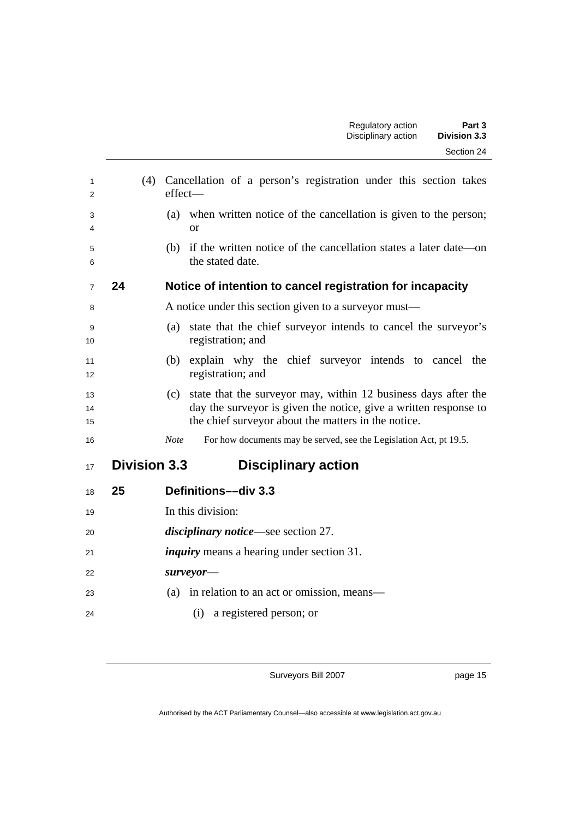| 1<br>2         | (4)                 | Cancellation of a person's registration under this section takes<br>effect-                                                                                                                      |
|----------------|---------------------|--------------------------------------------------------------------------------------------------------------------------------------------------------------------------------------------------|
| 3<br>4         |                     | (a) when written notice of the cancellation is given to the person;<br><sub>or</sub>                                                                                                             |
| 5<br>6         |                     | (b) if the written notice of the cancellation states a later date—on<br>the stated date.                                                                                                         |
| $\overline{7}$ | 24                  | Notice of intention to cancel registration for incapacity                                                                                                                                        |
| 8              |                     | A notice under this section given to a surveyor must—                                                                                                                                            |
| 9<br>10        |                     | state that the chief surveyor intends to cancel the surveyor's<br>(a)<br>registration; and                                                                                                       |
| 11<br>12       |                     | (b) explain why the chief surveyor intends to cancel the<br>registration; and                                                                                                                    |
| 13<br>14<br>15 |                     | state that the surveyor may, within 12 business days after the<br>(c)<br>day the surveyor is given the notice, give a written response to<br>the chief surveyor about the matters in the notice. |
| 16             |                     | For how documents may be served, see the Legislation Act, pt 19.5.<br><b>Note</b>                                                                                                                |
| 17             | <b>Division 3.3</b> | <b>Disciplinary action</b>                                                                                                                                                                       |
| 18             | 25                  | Definitions-div 3.3                                                                                                                                                                              |
| 19             |                     | In this division:                                                                                                                                                                                |
| 20             |                     | <i>disciplinary notice</i> —see section 27.                                                                                                                                                      |
| 21             |                     | <i>inquiry</i> means a hearing under section 31.                                                                                                                                                 |
| 22             |                     | surve                                                                                                                                                                                            |
| 23             |                     | in relation to an act or omission, means—<br>(a)                                                                                                                                                 |
| 24             |                     | a registered person; or<br>(i)                                                                                                                                                                   |

page 15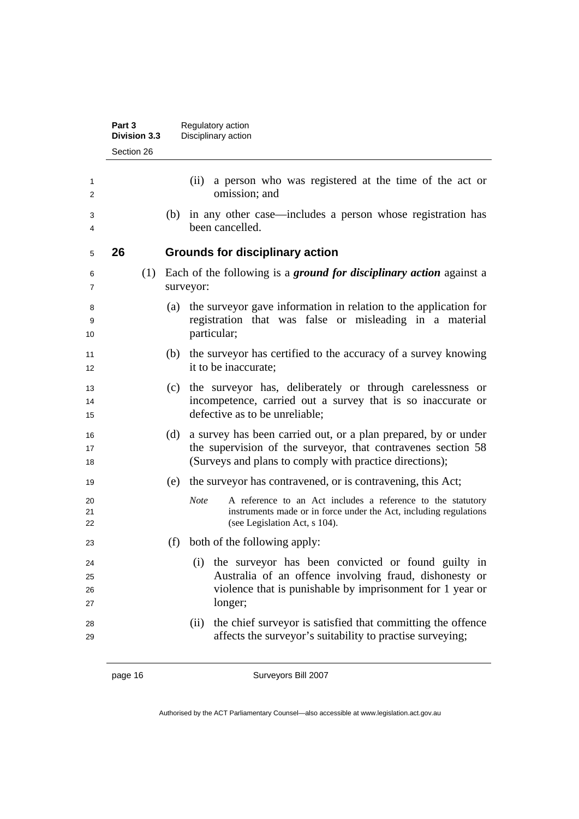|                      | Part 3<br><b>Division 3.3</b> |  |     | Regulatory action<br>Disciplinary action                                                                                                                                                    |  |  |
|----------------------|-------------------------------|--|-----|---------------------------------------------------------------------------------------------------------------------------------------------------------------------------------------------|--|--|
|                      | Section 26                    |  |     |                                                                                                                                                                                             |  |  |
| 1<br>2               |                               |  |     | a person who was registered at the time of the act or<br>(ii)<br>omission; and                                                                                                              |  |  |
| 3<br>4               |                               |  | (b) | in any other case—includes a person whose registration has<br>been cancelled.                                                                                                               |  |  |
| 5                    | 26                            |  |     | <b>Grounds for disciplinary action</b>                                                                                                                                                      |  |  |
| 6<br>7               |                               |  |     | (1) Each of the following is a ground for disciplinary action against a<br>surveyor:                                                                                                        |  |  |
| 8<br>9<br>10         |                               |  | (a) | the surveyor gave information in relation to the application for<br>registration that was false or misleading in a material<br>particular;                                                  |  |  |
| 11<br>12             |                               |  | (b) | the surveyor has certified to the accuracy of a survey knowing<br>it to be inaccurate;                                                                                                      |  |  |
| 13<br>14<br>15       |                               |  |     | (c) the surveyor has, deliberately or through carelessness or<br>incompetence, carried out a survey that is so inaccurate or<br>defective as to be unreliable;                              |  |  |
| 16<br>17<br>18       |                               |  | (d) | a survey has been carried out, or a plan prepared, by or under<br>the supervision of the surveyor, that contravenes section 58<br>(Surveys and plans to comply with practice directions);   |  |  |
| 19                   |                               |  | (e) | the surveyor has contravened, or is contravening, this Act;                                                                                                                                 |  |  |
| 20<br>21<br>22       |                               |  |     | <b>Note</b><br>A reference to an Act includes a reference to the statutory<br>instruments made or in force under the Act, including regulations<br>(see Legislation Act, s 104).            |  |  |
| 23                   |                               |  | (f) | both of the following apply:                                                                                                                                                                |  |  |
| 24<br>25<br>26<br>27 |                               |  |     | the surveyor has been convicted or found guilty in<br>(i)<br>Australia of an offence involving fraud, dishonesty or<br>violence that is punishable by imprisonment for 1 year or<br>longer; |  |  |
| 28<br>29             |                               |  |     | the chief surveyor is satisfied that committing the offence<br>(ii)<br>affects the surveyor's suitability to practise surveying;                                                            |  |  |

page 16 Surveyors Bill 2007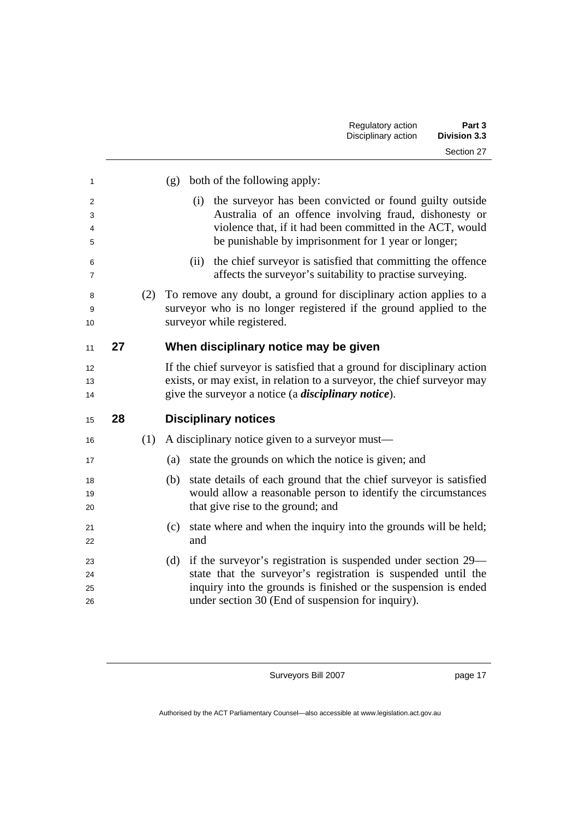|    |     | both of the following apply:<br>(g)                                                                                                                                                                                                          |
|----|-----|----------------------------------------------------------------------------------------------------------------------------------------------------------------------------------------------------------------------------------------------|
|    |     | the surveyor has been convicted or found guilty outside<br>(i)<br>Australia of an offence involving fraud, dishonesty or<br>violence that, if it had been committed in the ACT, would<br>be punishable by imprisonment for 1 year or longer; |
|    |     | the chief surveyor is satisfied that committing the offence<br>(ii)<br>affects the surveyor's suitability to practise surveying.                                                                                                             |
|    | (2) | To remove any doubt, a ground for disciplinary action applies to a<br>surveyor who is no longer registered if the ground applied to the<br>surveyor while registered.                                                                        |
| 27 |     | When disciplinary notice may be given                                                                                                                                                                                                        |
|    |     | If the chief surveyor is satisfied that a ground for disciplinary action<br>exists, or may exist, in relation to a surveyor, the chief surveyor may<br>give the surveyor a notice (a <i>disciplinary notice</i> ).                           |
| 28 |     | <b>Disciplinary notices</b>                                                                                                                                                                                                                  |
|    | (1) | A disciplinary notice given to a survey or must—                                                                                                                                                                                             |
|    |     | state the grounds on which the notice is given; and<br>(a)                                                                                                                                                                                   |
|    |     | state details of each ground that the chief surveyor is satisfied<br>(b)<br>would allow a reasonable person to identify the circumstances<br>that give rise to the ground; and                                                               |
|    |     | state where and when the inquiry into the grounds will be held;<br>(c)<br>and                                                                                                                                                                |
|    |     | if the surveyor's registration is suspended under section 29—<br>(d)                                                                                                                                                                         |
|    |     |                                                                                                                                                                                                                                              |

page 17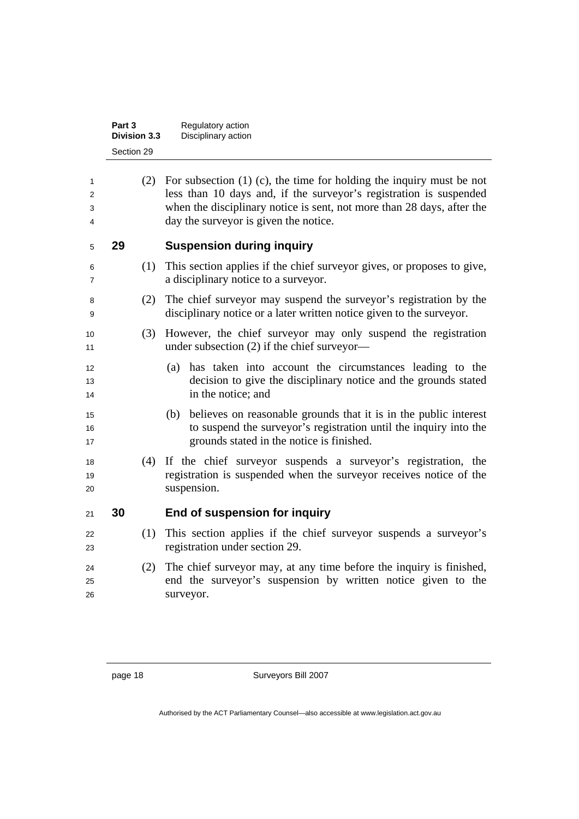| Part 3              | Regulatory action   |  |
|---------------------|---------------------|--|
| <b>Division 3.3</b> | Disciplinary action |  |
| Section 29          |                     |  |

| 1<br>2<br>3<br>4 |    |     | (2) For subsection $(1)$ (c), the time for holding the inquiry must be not<br>less than 10 days and, if the surveyor's registration is suspended<br>when the disciplinary notice is sent, not more than 28 days, after the<br>day the surveyor is given the notice. |
|------------------|----|-----|---------------------------------------------------------------------------------------------------------------------------------------------------------------------------------------------------------------------------------------------------------------------|
| 5                | 29 |     | <b>Suspension during inquiry</b>                                                                                                                                                                                                                                    |
| 6<br>7           |    | (1) | This section applies if the chief survey or gives, or proposes to give,<br>a disciplinary notice to a surveyor.                                                                                                                                                     |
| 8<br>9           |    | (2) | The chief surveyor may suspend the surveyor's registration by the<br>disciplinary notice or a later written notice given to the surveyor.                                                                                                                           |
| 10<br>11         |    | (3) | However, the chief surveyor may only suspend the registration<br>under subsection (2) if the chief surveyor—                                                                                                                                                        |
| 12<br>13<br>14   |    |     | (a) has taken into account the circumstances leading to the<br>decision to give the disciplinary notice and the grounds stated<br>in the notice; and                                                                                                                |
| 15<br>16<br>17   |    |     | (b) believes on reasonable grounds that it is in the public interest<br>to suspend the surveyor's registration until the inquiry into the<br>grounds stated in the notice is finished.                                                                              |
| 18<br>19<br>20   |    | (4) | If the chief surveyor suspends a surveyor's registration, the<br>registration is suspended when the surveyor receives notice of the<br>suspension.                                                                                                                  |
| 21               | 30 |     | End of suspension for inquiry                                                                                                                                                                                                                                       |
| 22<br>23         |    | (1) | This section applies if the chief surveyor suspends a surveyor's<br>registration under section 29.                                                                                                                                                                  |
| 24<br>25<br>26   |    | (2) | The chief surveyor may, at any time before the inquiry is finished,<br>end the surveyor's suspension by written notice given to the<br>surveyor.                                                                                                                    |
|                  |    |     |                                                                                                                                                                                                                                                                     |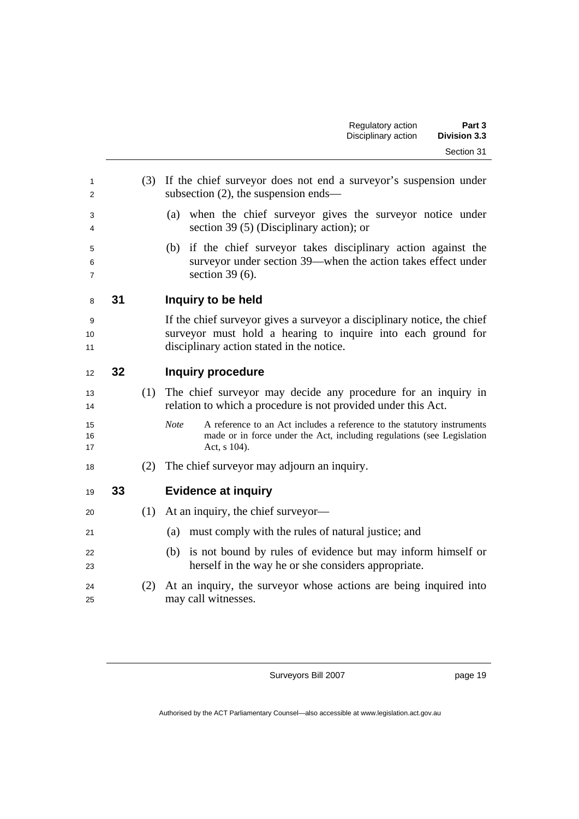| 1<br>2         |    | (3) | If the chief surveyor does not end a surveyor's suspension under<br>subsection $(2)$ , the suspension ends—                                                                         |
|----------------|----|-----|-------------------------------------------------------------------------------------------------------------------------------------------------------------------------------------|
| 3<br>4         |    |     | (a) when the chief surveyor gives the surveyor notice under<br>section 39 $(5)$ (Disciplinary action); or                                                                           |
| 5<br>6<br>7    |    |     | (b) if the chief surveyor takes disciplinary action against the<br>surveyor under section 39—when the action takes effect under<br>section $39(6)$ .                                |
| 8              | 31 |     | Inquiry to be held                                                                                                                                                                  |
| 9<br>10<br>11  |    |     | If the chief survey gives a survey or a disciplinary notice, the chief<br>surveyor must hold a hearing to inquire into each ground for<br>disciplinary action stated in the notice. |
| 12             | 32 |     | <b>Inquiry procedure</b>                                                                                                                                                            |
| 13<br>14       |    | (1) | The chief surveyor may decide any procedure for an inquiry in<br>relation to which a procedure is not provided under this Act.                                                      |
| 15<br>16<br>17 |    |     | <b>Note</b><br>A reference to an Act includes a reference to the statutory instruments<br>made or in force under the Act, including regulations (see Legislation<br>Act, s 104).    |
| 18             |    | (2) | The chief surveyor may adjourn an inquiry.                                                                                                                                          |
| 19             | 33 |     | <b>Evidence at inquiry</b>                                                                                                                                                          |
| 20             |    | (1) | At an inquiry, the chief surveyor—                                                                                                                                                  |
| 21             |    |     | must comply with the rules of natural justice; and<br>(a)                                                                                                                           |
| 22<br>23       |    |     | is not bound by rules of evidence but may inform himself or<br>(b)<br>herself in the way he or she considers appropriate.                                                           |
| 24<br>25       |    | (2) | At an inquiry, the surveyor whose actions are being inquired into<br>may call witnesses.                                                                                            |
|                |    |     |                                                                                                                                                                                     |

page 19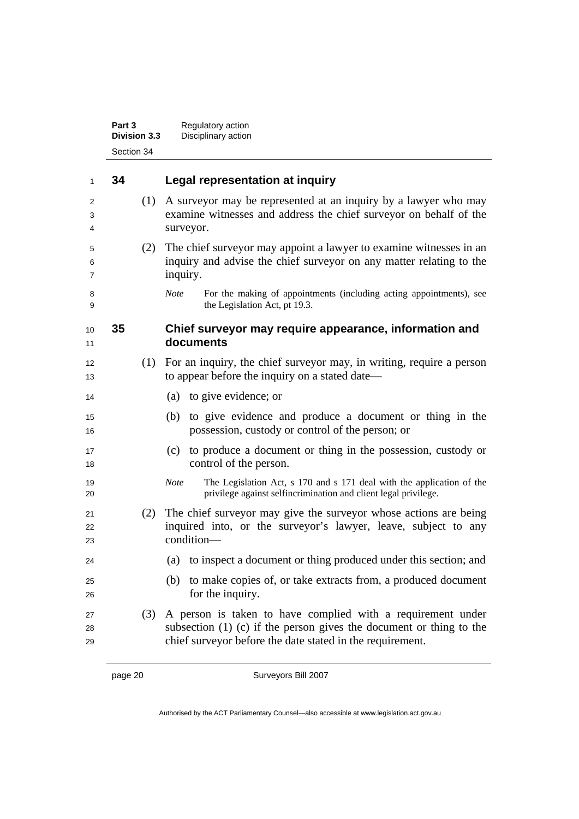|                | Part 3<br>Division 3.3 | Regulatory action<br>Disciplinary action                                                                                                                                                            |
|----------------|------------------------|-----------------------------------------------------------------------------------------------------------------------------------------------------------------------------------------------------|
|                | Section 34             |                                                                                                                                                                                                     |
| $\mathbf{1}$   | 34                     | Legal representation at inquiry                                                                                                                                                                     |
| 2<br>3<br>4    | (1)                    | A surveyor may be represented at an inquiry by a lawyer who may<br>examine witnesses and address the chief surveyor on behalf of the<br>surveyor.                                                   |
| 5<br>6<br>7    | (2)                    | The chief surveyor may appoint a lawyer to examine witnesses in an<br>inquiry and advise the chief surveyor on any matter relating to the<br>inquiry.                                               |
| 8<br>9         |                        | <b>Note</b><br>For the making of appointments (including acting appointments), see<br>the Legislation Act, pt 19.3.                                                                                 |
| 10<br>11       | 35                     | Chief surveyor may require appearance, information and<br>documents                                                                                                                                 |
| 12<br>13       | (1)                    | For an inquiry, the chief surveyor may, in writing, require a person<br>to appear before the inquiry on a stated date—                                                                              |
| 14             |                        | (a) to give evidence; or                                                                                                                                                                            |
| 15<br>16       |                        | to give evidence and produce a document or thing in the<br>(b)<br>possession, custody or control of the person; or                                                                                  |
| 17<br>18       |                        | to produce a document or thing in the possession, custody or<br>(c)<br>control of the person.                                                                                                       |
| 19<br>20       |                        | The Legislation Act, s 170 and s 171 deal with the application of the<br><b>Note</b><br>privilege against selfincrimination and client legal privilege.                                             |
| 21<br>22<br>23 | (2)                    | The chief surveyor may give the surveyor whose actions are being<br>inquired into, or the surveyor's lawyer, leave, subject to any<br>condition-                                                    |
| 24             |                        | to inspect a document or thing produced under this section; and<br>(a)                                                                                                                              |
| 25<br>26       |                        | to make copies of, or take extracts from, a produced document<br>(b)<br>for the inquiry.                                                                                                            |
| 27<br>28<br>29 | (3)                    | A person is taken to have complied with a requirement under<br>subsection $(1)$ $(c)$ if the person gives the document or thing to the<br>chief surveyor before the date stated in the requirement. |
|                | page 20                | Surveyors Bill 2007                                                                                                                                                                                 |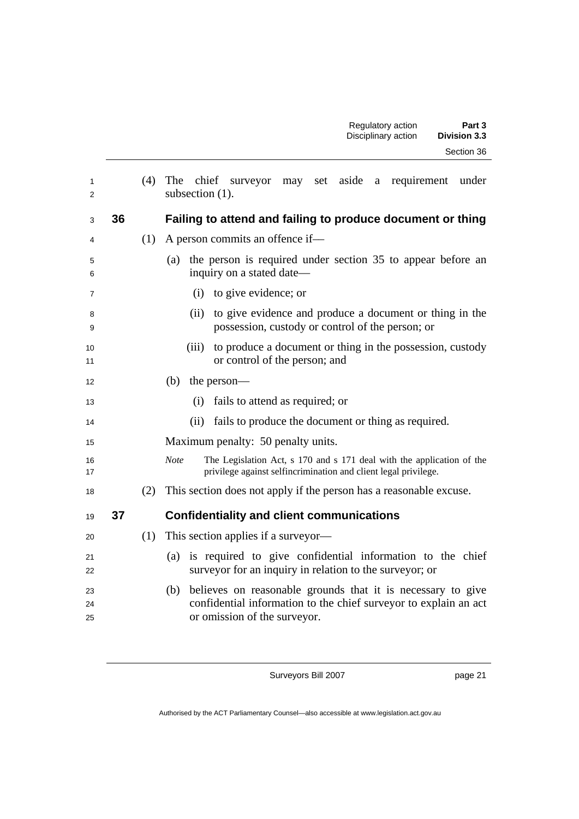| 1<br>2         |    | (4) | The chief surveyor may set aside a requirement under<br>subsection (1).                                                                                                |
|----------------|----|-----|------------------------------------------------------------------------------------------------------------------------------------------------------------------------|
| 3              | 36 |     | Failing to attend and failing to produce document or thing                                                                                                             |
| 4              |    | (1) | A person commits an offence if—                                                                                                                                        |
| 5<br>6         |    |     | the person is required under section 35 to appear before an<br>(a)<br>inquiry on a stated date-                                                                        |
| 7              |    |     | to give evidence; or<br>(i)                                                                                                                                            |
| 8<br>9         |    |     | to give evidence and produce a document or thing in the<br>(ii)<br>possession, custody or control of the person; or                                                    |
| 10<br>11       |    |     | to produce a document or thing in the possession, custody<br>(iii)<br>or control of the person; and                                                                    |
| 12             |    |     | (b)<br>the person-                                                                                                                                                     |
| 13             |    |     | fails to attend as required; or<br>(i)                                                                                                                                 |
| 14             |    |     | fails to produce the document or thing as required.<br>(ii)                                                                                                            |
| 15             |    |     | Maximum penalty: 50 penalty units.                                                                                                                                     |
| 16<br>17       |    |     | The Legislation Act, s 170 and s 171 deal with the application of the<br><b>Note</b><br>privilege against selfincrimination and client legal privilege.                |
| 18             |    | (2) | This section does not apply if the person has a reasonable excuse.                                                                                                     |
| 19             | 37 |     | <b>Confidentiality and client communications</b>                                                                                                                       |
| 20             |    | (1) | This section applies if a surveyor—                                                                                                                                    |
| 21<br>22       |    |     | is required to give confidential information to the chief<br>(a)<br>surveyor for an inquiry in relation to the surveyor; or                                            |
| 23<br>24<br>25 |    |     | believes on reasonable grounds that it is necessary to give<br>(b)<br>confidential information to the chief surveyor to explain an act<br>or omission of the surveyor. |

page 21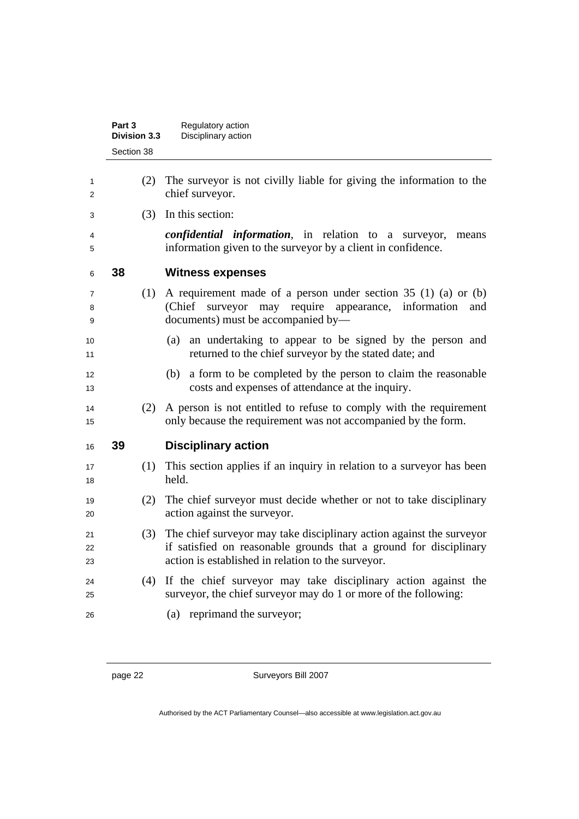|                | Part 3<br><b>Division 3.3</b> | Regulatory action<br>Disciplinary action                                                                                                                                                        |
|----------------|-------------------------------|-------------------------------------------------------------------------------------------------------------------------------------------------------------------------------------------------|
|                | Section 38                    |                                                                                                                                                                                                 |
| 1<br>2         | (2)                           | The survey is not civilly liable for giving the information to the<br>chief surveyor.                                                                                                           |
| 3              | (3)                           | In this section:                                                                                                                                                                                |
| 4<br>5         |                               | <i>confidential information</i> , in relation to a surveyor,<br>means<br>information given to the survey or by a client in confidence.                                                          |
| 6              | 38                            | <b>Witness expenses</b>                                                                                                                                                                         |
| 7<br>8<br>9    | (1)                           | A requirement made of a person under section $35(1)(a)$ or (b)<br>(Chief surveyor may require appearance, information<br>and<br>documents) must be accompanied by—                              |
| 10<br>11       |                               | an undertaking to appear to be signed by the person and<br>(a)<br>returned to the chief surveyor by the stated date; and                                                                        |
| 12<br>13       |                               | a form to be completed by the person to claim the reasonable<br>(b)<br>costs and expenses of attendance at the inquiry.                                                                         |
| 14<br>15       | (2)                           | A person is not entitled to refuse to comply with the requirement<br>only because the requirement was not accompanied by the form.                                                              |
| 16             | 39                            | <b>Disciplinary action</b>                                                                                                                                                                      |
| 17<br>18       | (1)                           | This section applies if an inquiry in relation to a surveyor has been<br>held.                                                                                                                  |
| 19<br>20       | (2)                           | The chief surveyor must decide whether or not to take disciplinary<br>action against the surveyor.                                                                                              |
| 21<br>22<br>23 | (3)                           | The chief surveyor may take disciplinary action against the surveyor<br>if satisfied on reasonable grounds that a ground for disciplinary<br>action is established in relation to the surveyor. |
| 24<br>25       | (4)                           | If the chief surveyor may take disciplinary action against the<br>surveyor, the chief surveyor may do 1 or more of the following:                                                               |
| 26             |                               | (a) reprimand the surveyor;                                                                                                                                                                     |
|                |                               |                                                                                                                                                                                                 |

Authorised by the ACT Parliamentary Counsel—also accessible at www.legislation.act.gov.au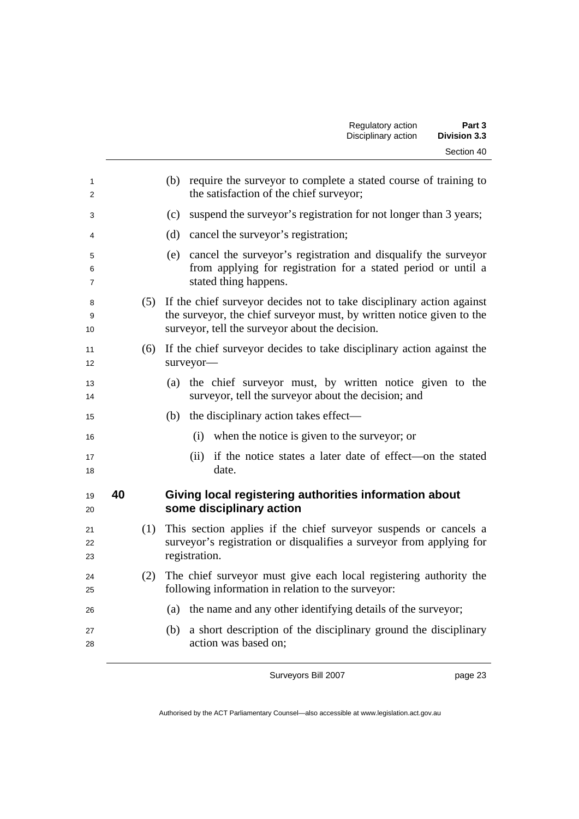|    |     | require the surveyor to complete a stated course of training to<br>(b)<br>the satisfaction of the chief surveyor;                                                                                     |
|----|-----|-------------------------------------------------------------------------------------------------------------------------------------------------------------------------------------------------------|
|    |     | suspend the surveyor's registration for not longer than 3 years;<br>(c)                                                                                                                               |
|    |     | (d) cancel the surveyor's registration;                                                                                                                                                               |
|    |     | cancel the surveyor's registration and disqualify the surveyor<br>(e)<br>from applying for registration for a stated period or until a<br>stated thing happens.                                       |
|    |     | (5) If the chief surveyor decides not to take disciplinary action against<br>the surveyor, the chief surveyor must, by written notice given to the<br>surveyor, tell the surveyor about the decision. |
|    | (6) | If the chief surveyor decides to take disciplinary action against the<br>surveyor-                                                                                                                    |
|    |     | (a) the chief surveyor must, by written notice given to the<br>surveyor, tell the surveyor about the decision; and                                                                                    |
|    |     | the disciplinary action takes effect—<br>(b)                                                                                                                                                          |
|    |     | (i)<br>when the notice is given to the surveyor; or                                                                                                                                                   |
|    |     | (ii) if the notice states a later date of effect—on the stated<br>date.                                                                                                                               |
| 40 |     | Giving local registering authorities information about<br>some disciplinary action                                                                                                                    |
|    | (1) | This section applies if the chief surveyor suspends or cancels a<br>surveyor's registration or disqualifies a surveyor from applying for<br>registration.                                             |
|    | (2) | The chief surveyor must give each local registering authority the<br>following information in relation to the surveyor:                                                                               |
|    |     | (a) the name and any other identifying details of the surveyor;                                                                                                                                       |
|    |     | a short description of the disciplinary ground the disciplinary<br>(b)<br>action was based on;                                                                                                        |

page 23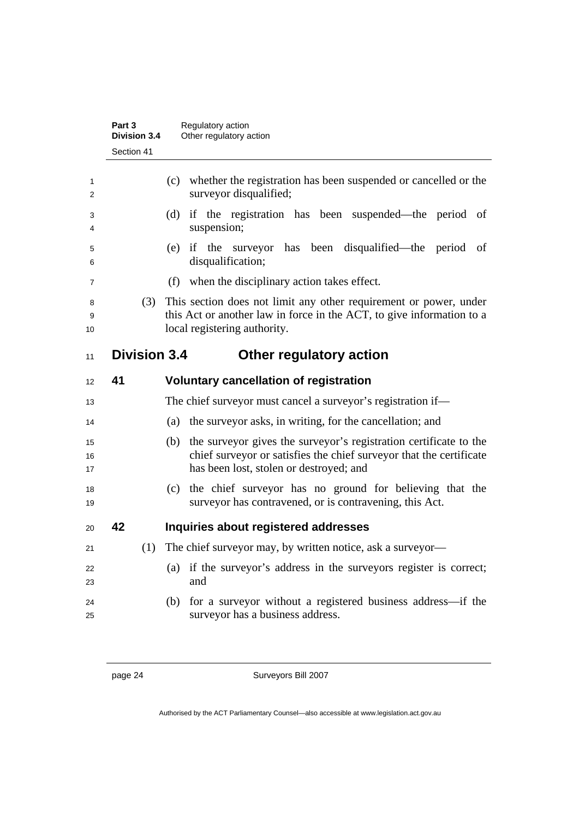|                | Part 3<br><b>Division 3.4</b> | Regulatory action<br>Other regulatory action                                                                                                                                               |
|----------------|-------------------------------|--------------------------------------------------------------------------------------------------------------------------------------------------------------------------------------------|
|                | Section 41                    |                                                                                                                                                                                            |
| 1<br>2         |                               | (c) whether the registration has been suspended or cancelled or the<br>surveyor disqualified;                                                                                              |
| 3<br>4         |                               | if the registration has been suspended—the period of<br>(d)<br>suspension;                                                                                                                 |
| 5<br>6         |                               | (e) if the surveyor has<br>been disqualified—the period of<br>disqualification;                                                                                                            |
| 7              |                               | when the disciplinary action takes effect.<br>(f)                                                                                                                                          |
| 8<br>9<br>10   | (3)                           | This section does not limit any other requirement or power, under<br>this Act or another law in force in the ACT, to give information to a<br>local registering authority.                 |
| 11             | <b>Division 3.4</b>           | Other regulatory action                                                                                                                                                                    |
| 12             | 41                            | <b>Voluntary cancellation of registration</b>                                                                                                                                              |
| 13             |                               | The chief surveyor must cancel a surveyor's registration if—                                                                                                                               |
| 14             |                               | the surveyor asks, in writing, for the cancellation; and<br>(a)                                                                                                                            |
| 15<br>16<br>17 |                               | the surveyor gives the surveyor's registration certificate to the<br>(b)<br>chief surveyor or satisfies the chief surveyor that the certificate<br>has been lost, stolen or destroyed; and |
| 18<br>19       |                               | (c) the chief surveyor has no ground for believing that the<br>surveyor has contravened, or is contravening, this Act.                                                                     |
| 20             | 42                            | Inquiries about registered addresses                                                                                                                                                       |
| 21             | (1)                           | The chief surveyor may, by written notice, ask a surveyor-                                                                                                                                 |
| 22<br>23       |                               | (a) if the surveyor's address in the surveyors register is correct;<br>and                                                                                                                 |
| 24<br>25       |                               | for a surveyor without a registered business address—if the<br>(b)<br>surveyor has a business address.                                                                                     |

page 24 Surveyors Bill 2007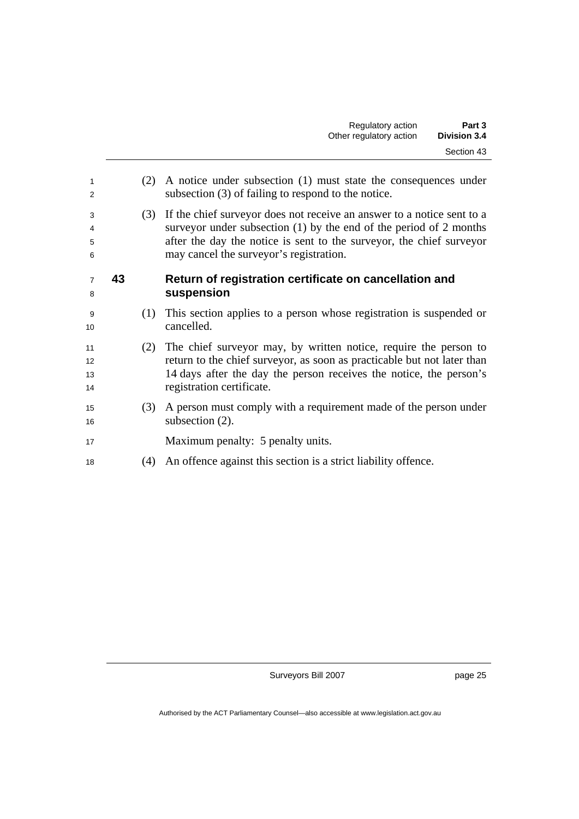| 1<br>2               |    | (2) | A notice under subsection (1) must state the consequences under<br>subsection (3) of failing to respond to the notice.                                                                                                                                            |
|----------------------|----|-----|-------------------------------------------------------------------------------------------------------------------------------------------------------------------------------------------------------------------------------------------------------------------|
| 3<br>4<br>5<br>6     |    | (3) | If the chief surveyor does not receive an answer to a notice sent to a<br>surveyor under subsection $(1)$ by the end of the period of 2 months<br>after the day the notice is sent to the surveyor, the chief surveyor<br>may cancel the surveyor's registration. |
| $\overline{7}$<br>8  | 43 |     | Return of registration certificate on cancellation and<br>suspension                                                                                                                                                                                              |
| 9<br>10              |    | (1) | This section applies to a person whose registration is suspended or<br>cancelled.                                                                                                                                                                                 |
| 11<br>12<br>13<br>14 |    | (2) | The chief surveyor may, by written notice, require the person to<br>return to the chief surveyor, as soon as practicable but not later than<br>14 days after the day the person receives the notice, the person's<br>registration certificate.                    |
| 15<br>16             |    | (3) | A person must comply with a requirement made of the person under<br>subsection $(2)$ .                                                                                                                                                                            |
| 17                   |    |     | Maximum penalty: 5 penalty units.                                                                                                                                                                                                                                 |
| 18                   |    | (4) | An offence against this section is a strict liability offence.                                                                                                                                                                                                    |
|                      |    |     |                                                                                                                                                                                                                                                                   |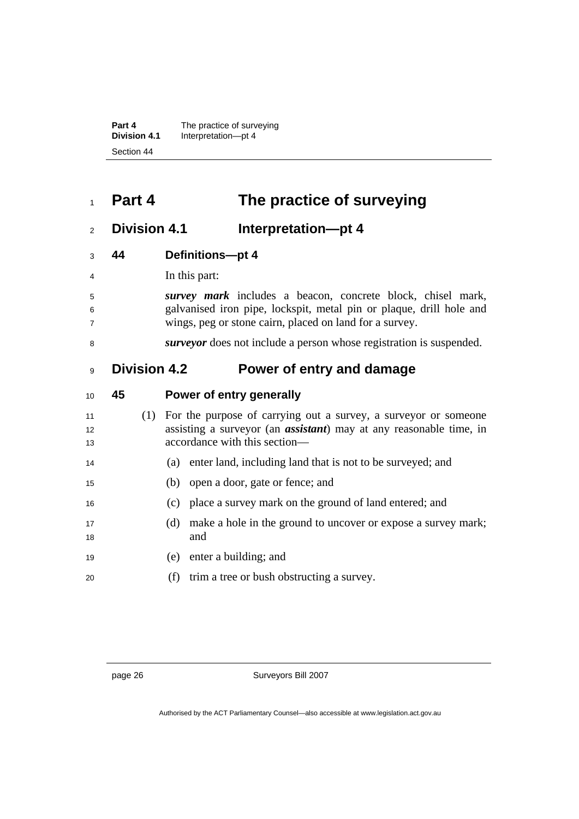**Part 4 The practice of surveying Division 4.1** Interpretation—pt 4 Section 44

## <sup>1</sup>**Part 4 The practice of surveying**

### <sup>2</sup>**Division 4.1 Interpretation—pt 4**

- <sup>3</sup>**44 Definitions—pt 4**
- <sup>4</sup>In this part:
- <sup>5</sup>*survey mark* includes a beacon, concrete block, chisel mark, <sup>6</sup>galvanised iron pipe, lockspit, metal pin or plaque, drill hole and <sup>7</sup>wings, peg or stone cairn, placed on land for a survey.
- <sup>8</sup>*surveyor* does not include a person whose registration is suspended.

### <sup>9</sup>**Division 4.2 Power of entry and damage**

| 10              | 45 |     | Power of entry generally                                                   |
|-----------------|----|-----|----------------------------------------------------------------------------|
| 11              |    | (1) | For the purpose of carrying out a survey, a surveyor or someone            |
| 12 <sup>2</sup> |    |     | assisting a surveyor (an <b>assistant</b> ) may at any reasonable time, in |
| 13              |    |     | accordance with this section—                                              |
| 14              |    |     | enter land, including land that is not to be surveyed; and<br>(a)          |
| 15              |    |     | (b) open a door, gate or fence; and                                        |
| 16              |    |     | (c) place a survey mark on the ground of land entered; and                 |
| 17              |    |     | make a hole in the ground to uncover or expose a survey mark;<br>(d)       |
| 18              |    |     | and                                                                        |
| 19              |    |     | enter a building; and<br>(e)                                               |
| 20              |    |     | trim a tree or bush obstructing a survey.<br>(f)                           |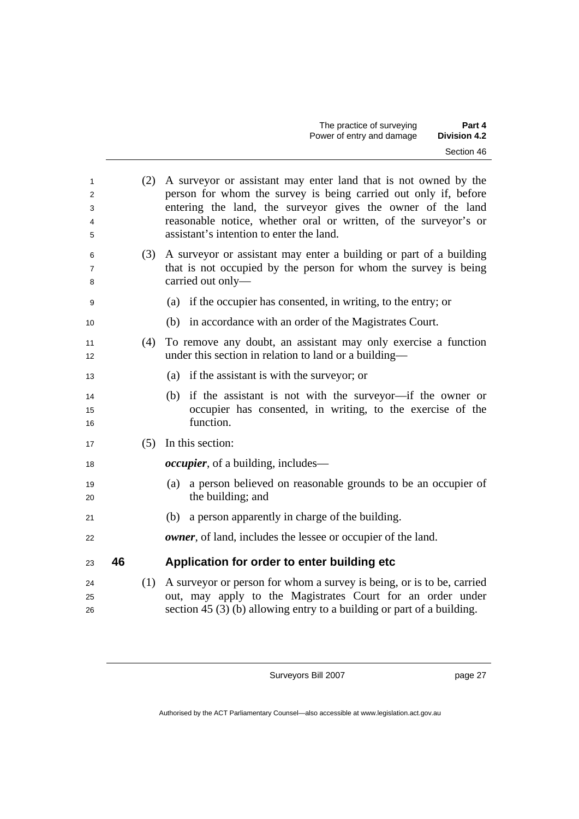| 1<br>2<br>3<br>4<br>5 |    | (2) | A surveyor or assistant may enter land that is not owned by the<br>person for whom the survey is being carried out only if, before<br>entering the land, the surveyor gives the owner of the land<br>reasonable notice, whether oral or written, of the surveyor's or<br>assistant's intention to enter the land. |
|-----------------------|----|-----|-------------------------------------------------------------------------------------------------------------------------------------------------------------------------------------------------------------------------------------------------------------------------------------------------------------------|
| 6<br>7<br>8           |    |     | (3) A surveyor or assistant may enter a building or part of a building<br>that is not occupied by the person for whom the survey is being<br>carried out only-                                                                                                                                                    |
| 9                     |    |     | (a) if the occupier has consented, in writing, to the entry; or                                                                                                                                                                                                                                                   |
| 10                    |    |     | (b) in accordance with an order of the Magistrates Court.                                                                                                                                                                                                                                                         |
| 11<br>12              |    | (4) | To remove any doubt, an assistant may only exercise a function<br>under this section in relation to land or a building—                                                                                                                                                                                           |
| 13                    |    |     | (a) if the assistant is with the surveyor; or                                                                                                                                                                                                                                                                     |
| 14<br>15<br>16        |    |     | (b) if the assistant is not with the surveyor—if the owner or<br>occupier has consented, in writing, to the exercise of the<br>function.                                                                                                                                                                          |
| 17                    |    | (5) | In this section:                                                                                                                                                                                                                                                                                                  |
| 18                    |    |     | <i>occupier</i> , of a building, includes—                                                                                                                                                                                                                                                                        |
| 19<br>20              |    |     | a person believed on reasonable grounds to be an occupier of<br>(a)<br>the building; and                                                                                                                                                                                                                          |
| 21                    |    |     | a person apparently in charge of the building.<br>(b)                                                                                                                                                                                                                                                             |
| 22                    |    |     | <b><i>owner</i></b> , of land, includes the lessee or occupier of the land.                                                                                                                                                                                                                                       |
| 23                    | 46 |     | Application for order to enter building etc                                                                                                                                                                                                                                                                       |
| 24                    |    | (1) | A surveyor or person for whom a survey is being, or is to be, carried                                                                                                                                                                                                                                             |
| 25                    |    |     | out, may apply to the Magistrates Court for an order under                                                                                                                                                                                                                                                        |
| 26                    |    |     | section 45 $(3)$ (b) allowing entry to a building or part of a building.                                                                                                                                                                                                                                          |
|                       |    |     |                                                                                                                                                                                                                                                                                                                   |

page 27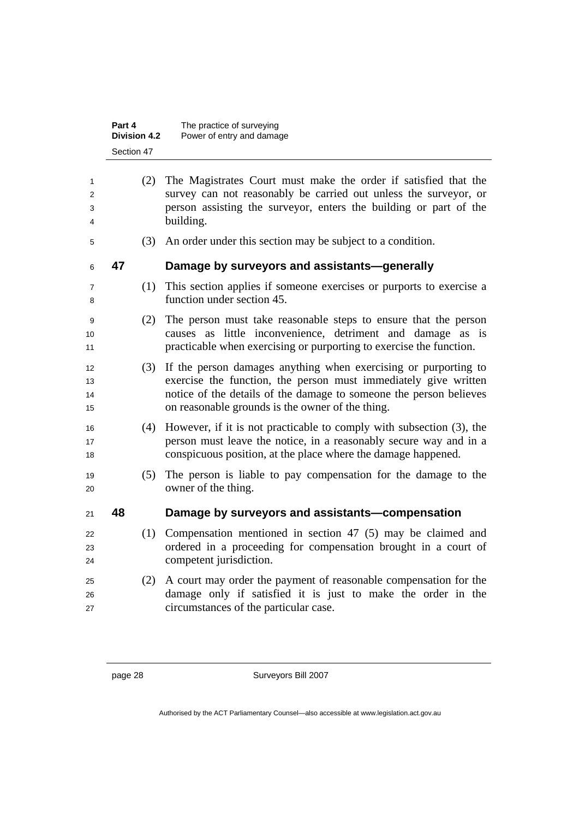|                                     | Part 4<br><b>Division 4.2</b> | The practice of surveying<br>Power of entry and damage                                                                                                                                                                                                       |
|-------------------------------------|-------------------------------|--------------------------------------------------------------------------------------------------------------------------------------------------------------------------------------------------------------------------------------------------------------|
|                                     | Section 47                    |                                                                                                                                                                                                                                                              |
| 1                                   | (2)                           | The Magistrates Court must make the order if satisfied that the                                                                                                                                                                                              |
| 2                                   |                               | survey can not reasonably be carried out unless the surveyor, or                                                                                                                                                                                             |
| 3                                   |                               | person assisting the surveyor, enters the building or part of the                                                                                                                                                                                            |
| 4                                   |                               | building.                                                                                                                                                                                                                                                    |
| 5                                   | (3)                           | An order under this section may be subject to a condition.                                                                                                                                                                                                   |
| 6                                   | 47                            | Damage by surveyors and assistants-generally                                                                                                                                                                                                                 |
| 7<br>8                              | (1)                           | This section applies if someone exercises or purports to exercise a<br>function under section 45.                                                                                                                                                            |
| 9<br>10<br>11                       | (2)                           | The person must take reasonable steps to ensure that the person<br>causes as little inconvenience, detriment and damage as is<br>practicable when exercising or purporting to exercise the function.                                                         |
| $12 \overline{ }$<br>13<br>14<br>15 | (3)                           | If the person damages anything when exercising or purporting to<br>exercise the function, the person must immediately give written<br>notice of the details of the damage to someone the person believes<br>on reasonable grounds is the owner of the thing. |
| 16<br>17<br>18                      | (4)                           | However, if it is not practicable to comply with subsection (3), the<br>person must leave the notice, in a reasonably secure way and in a<br>conspicuous position, at the place where the damage happened.                                                   |
| 19<br>20                            | (5)                           | The person is liable to pay compensation for the damage to the<br>owner of the thing.                                                                                                                                                                        |
| 21                                  | 48                            | Damage by surveyors and assistants-compensation                                                                                                                                                                                                              |
| 22                                  | (1)                           | Compensation mentioned in section $47$ (5) may be claimed and                                                                                                                                                                                                |
| 23<br>24                            |                               | ordered in a proceeding for compensation brought in a court of<br>competent jurisdiction.                                                                                                                                                                    |
| 25<br>26<br>27                      | (2)                           | A court may order the payment of reasonable compensation for the<br>damage only if satisfied it is just to make the order in the<br>circumstances of the particular case.                                                                                    |
|                                     |                               |                                                                                                                                                                                                                                                              |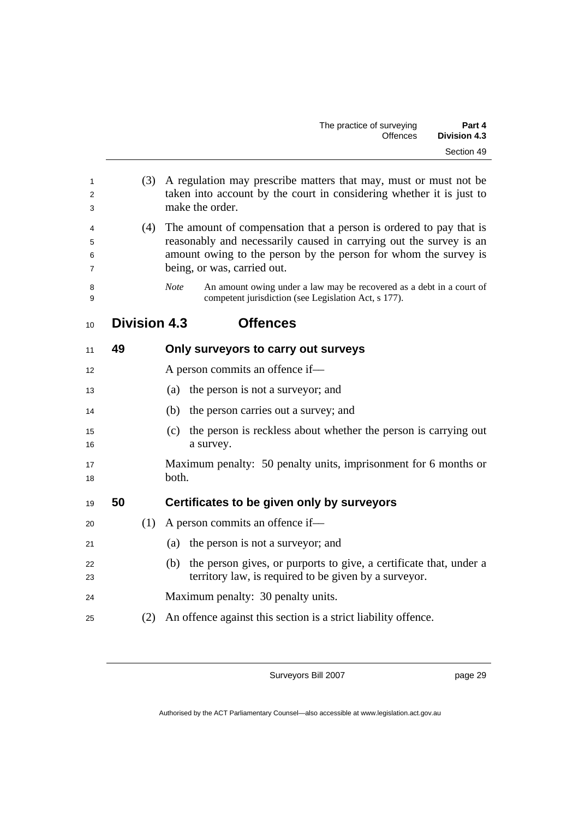| 1<br>2<br>3      |    | (3) | A regulation may prescribe matters that may, must or must not be<br>taken into account by the court in considering whether it is just to<br>make the order.                                                                                |  |  |
|------------------|----|-----|--------------------------------------------------------------------------------------------------------------------------------------------------------------------------------------------------------------------------------------------|--|--|
| 4<br>5<br>6<br>7 |    | (4) | The amount of compensation that a person is ordered to pay that is<br>reasonably and necessarily caused in carrying out the survey is an<br>amount owing to the person by the person for whom the survey is<br>being, or was, carried out. |  |  |
| 8<br>9           |    |     | <b>Note</b><br>An amount owing under a law may be recovered as a debt in a court of<br>competent jurisdiction (see Legislation Act, s 177).                                                                                                |  |  |
| 10               |    |     | <b>Offences</b><br><b>Division 4.3</b>                                                                                                                                                                                                     |  |  |
| 11               | 49 |     | Only surveyors to carry out surveys                                                                                                                                                                                                        |  |  |
| 12               |    |     | A person commits an offence if-                                                                                                                                                                                                            |  |  |
| 13               |    |     | the person is not a surveyor; and<br>(a)                                                                                                                                                                                                   |  |  |
| 14               |    |     | (b) the person carries out a survey; and                                                                                                                                                                                                   |  |  |
| 15<br>16         |    |     | the person is reckless about whether the person is carrying out<br>(c)<br>a survey.                                                                                                                                                        |  |  |
| 17<br>18         |    |     | Maximum penalty: 50 penalty units, imprisonment for 6 months or<br>both.                                                                                                                                                                   |  |  |
| 19               | 50 |     | Certificates to be given only by surveyors                                                                                                                                                                                                 |  |  |
| 20               |    | (1) | A person commits an offence if—                                                                                                                                                                                                            |  |  |
| 21               |    |     | the person is not a surveyor; and<br>(a)                                                                                                                                                                                                   |  |  |
| 22<br>23         |    |     | the person gives, or purports to give, a certificate that, under a<br>(b)<br>territory law, is required to be given by a surveyor.                                                                                                         |  |  |
| 24               |    |     | Maximum penalty: 30 penalty units.                                                                                                                                                                                                         |  |  |
| 25               |    | (2) | An offence against this section is a strict liability offence.                                                                                                                                                                             |  |  |
|                  |    |     |                                                                                                                                                                                                                                            |  |  |

page 29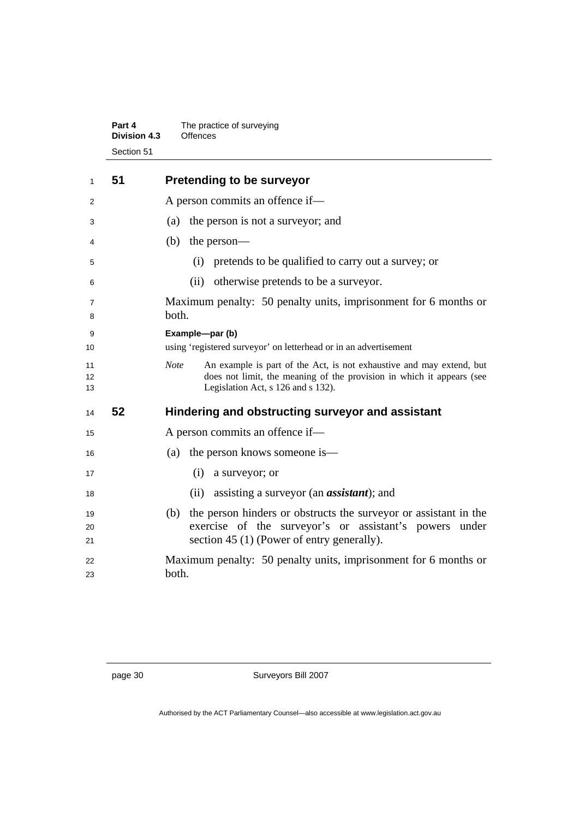| Part 4              | The practice of surveying |
|---------------------|---------------------------|
| <b>Division 4.3</b> | Offences                  |
| Section 51          |                           |

| 1                             | 51 | <b>Pretending to be surveyor</b>                                                                                                                                                                   |
|-------------------------------|----|----------------------------------------------------------------------------------------------------------------------------------------------------------------------------------------------------|
| 2                             |    | A person commits an offence if-                                                                                                                                                                    |
| 3                             |    | the person is not a surveyor; and<br>(a)                                                                                                                                                           |
| 4                             |    | (b)<br>the person—                                                                                                                                                                                 |
| 5                             |    | pretends to be qualified to carry out a survey; or<br>(i)                                                                                                                                          |
| 6                             |    | otherwise pretends to be a surveyor.<br>(ii)                                                                                                                                                       |
| 7<br>8                        |    | Maximum penalty: 50 penalty units, imprisonment for 6 months or<br>both.                                                                                                                           |
| 9<br>10                       |    | Example-par (b)<br>using 'registered surveyor' on letterhead or in an advertisement                                                                                                                |
| 11<br>$12 \overline{ }$<br>13 |    | <b>Note</b><br>An example is part of the Act, is not exhaustive and may extend, but<br>does not limit, the meaning of the provision in which it appears (see<br>Legislation Act, s 126 and s 132). |
| 14                            | 52 | Hindering and obstructing surveyor and assistant                                                                                                                                                   |
| 15                            |    | A person commits an offence if—                                                                                                                                                                    |
| 16                            |    | the person knows someone is—<br>(a)                                                                                                                                                                |
| 17                            |    | (i)<br>a surveyor; or                                                                                                                                                                              |
| 18                            |    | assisting a surveyor (an <i>assistant</i> ); and<br>(ii)                                                                                                                                           |
| 19<br>20<br>21                |    | the person hinders or obstructs the survey or assistant in the<br>(b)<br>exercise of the surveyor's or assistant's powers under<br>section 45 (1) (Power of entry generally).                      |
| 22<br>23                      |    | Maximum penalty: 50 penalty units, imprisonment for 6 months or<br>both.                                                                                                                           |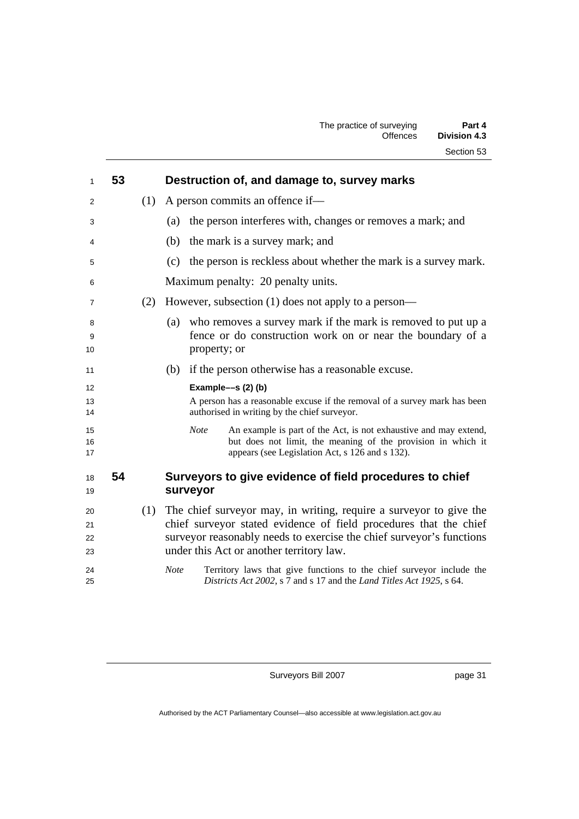| 1                    | 53 |     | Destruction of, and damage to, survey marks                                                                                                                                                                                                                 |
|----------------------|----|-----|-------------------------------------------------------------------------------------------------------------------------------------------------------------------------------------------------------------------------------------------------------------|
| 2                    |    | (1) | A person commits an offence if—                                                                                                                                                                                                                             |
| 3                    |    |     | the person interferes with, changes or removes a mark; and<br>(a)                                                                                                                                                                                           |
| 4                    |    |     | the mark is a survey mark; and<br>(b)                                                                                                                                                                                                                       |
| 5                    |    |     | the person is reckless about whether the mark is a survey mark.<br>(c)                                                                                                                                                                                      |
| 6                    |    |     | Maximum penalty: 20 penalty units.                                                                                                                                                                                                                          |
| 7                    |    | (2) | However, subsection (1) does not apply to a person—                                                                                                                                                                                                         |
| 8<br>9<br>10         |    |     | who removes a survey mark if the mark is removed to put up a<br>(a)<br>fence or do construction work on or near the boundary of a<br>property; or                                                                                                           |
| 11                   |    |     | if the person otherwise has a reasonable excuse.<br>(b)                                                                                                                                                                                                     |
| 12                   |    |     | Example-s (2) (b)                                                                                                                                                                                                                                           |
| 13<br>14             |    |     | A person has a reasonable excuse if the removal of a survey mark has been<br>authorised in writing by the chief surveyor.                                                                                                                                   |
| 15<br>16<br>17       |    |     | An example is part of the Act, is not exhaustive and may extend,<br><b>Note</b><br>but does not limit, the meaning of the provision in which it<br>appears (see Legislation Act, s 126 and s 132).                                                          |
| 18<br>19             | 54 |     | Surveyors to give evidence of field procedures to chief<br>surveyor                                                                                                                                                                                         |
| 20<br>21<br>22<br>23 |    | (1) | The chief surveyor may, in writing, require a surveyor to give the<br>chief surveyor stated evidence of field procedures that the chief<br>surveyor reasonably needs to exercise the chief surveyor's functions<br>under this Act or another territory law. |
| 24<br>25             |    |     | <b>Note</b><br>Territory laws that give functions to the chief surveyor include the<br>Districts Act 2002, s 7 and s 17 and the Land Titles Act 1925, s 64.                                                                                                 |
|                      |    |     |                                                                                                                                                                                                                                                             |

page 31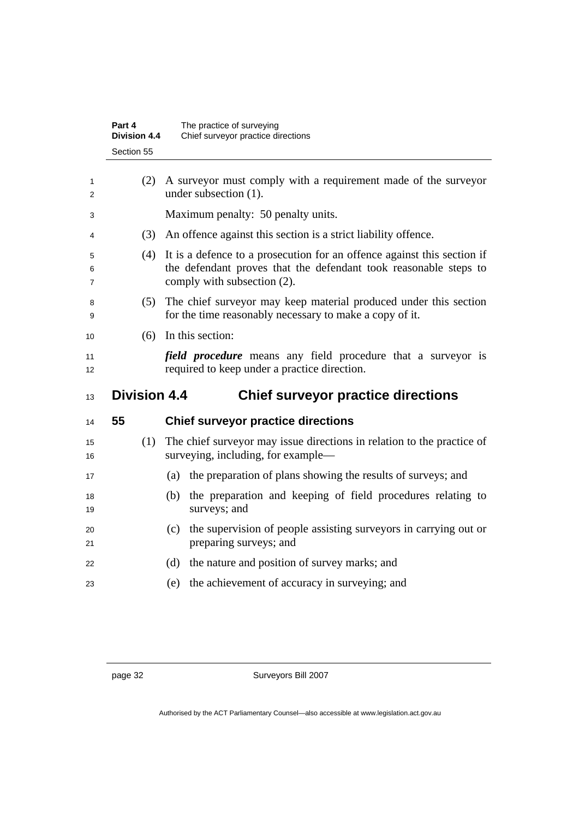|             | Part 4<br><b>Division 4.4</b> | The practice of surveying<br>Chief surveyor practice directions                                                                                                            |
|-------------|-------------------------------|----------------------------------------------------------------------------------------------------------------------------------------------------------------------------|
|             | Section 55                    |                                                                                                                                                                            |
| 1<br>2      | (2)                           | A surveyor must comply with a requirement made of the surveyor<br>under subsection (1).                                                                                    |
| 3           |                               | Maximum penalty: 50 penalty units.                                                                                                                                         |
| 4           | (3)                           | An offence against this section is a strict liability offence.                                                                                                             |
| 5<br>6<br>7 | (4)                           | It is a defence to a prosecution for an offence against this section if<br>the defendant proves that the defendant took reasonable steps to<br>comply with subsection (2). |
| 8<br>9      | (5)                           | The chief surveyor may keep material produced under this section<br>for the time reasonably necessary to make a copy of it.                                                |
| 10          | (6)                           | In this section:                                                                                                                                                           |
| 11<br>12    |                               | <i>field procedure</i> means any field procedure that a surveyor is<br>required to keep under a practice direction.                                                        |
| 13          | <b>Division 4.4</b>           | <b>Chief surveyor practice directions</b>                                                                                                                                  |
| 14          | 55                            | <b>Chief surveyor practice directions</b>                                                                                                                                  |
| 15<br>16    | (1)                           | The chief surveyor may issue directions in relation to the practice of<br>surveying, including, for example—                                                               |
| 17          |                               | the preparation of plans showing the results of surveys; and<br>(a)                                                                                                        |
| 18<br>19    |                               | (b) the preparation and keeping of field procedures relating to<br>surveys; and                                                                                            |
| 20<br>21    |                               | the supervision of people assisting surveyors in carrying out or<br>(c)<br>preparing surveys; and                                                                          |
| 22          |                               | the nature and position of survey marks; and<br>(d)                                                                                                                        |
| 23          |                               | the achievement of accuracy in surveying; and<br>(e)                                                                                                                       |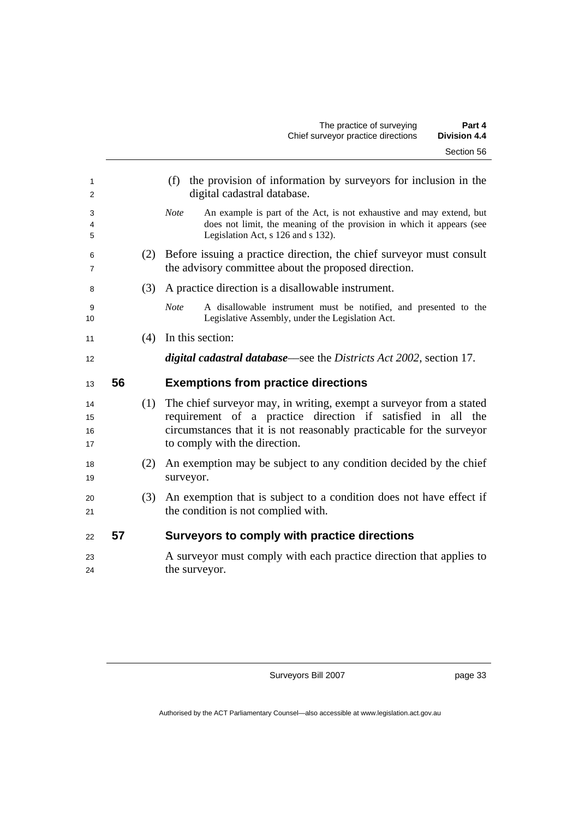| 1<br>2               |    |     | (f) the provision of information by surveyors for inclusion in the<br>digital cadastral database.                                                                                                                                               |  |  |  |
|----------------------|----|-----|-------------------------------------------------------------------------------------------------------------------------------------------------------------------------------------------------------------------------------------------------|--|--|--|
| 3<br>4<br>5          |    |     | An example is part of the Act, is not exhaustive and may extend, but<br><b>Note</b><br>does not limit, the meaning of the provision in which it appears (see<br>Legislation Act, s 126 and s 132).                                              |  |  |  |
| 6<br>7               |    | (2) | Before issuing a practice direction, the chief surveyor must consult<br>the advisory committee about the proposed direction.                                                                                                                    |  |  |  |
| 8                    |    | (3) | A practice direction is a disallowable instrument.                                                                                                                                                                                              |  |  |  |
| 9<br>10              |    |     | <b>Note</b><br>A disallowable instrument must be notified, and presented to the<br>Legislative Assembly, under the Legislation Act.                                                                                                             |  |  |  |
| 11                   |    | (4) | In this section:                                                                                                                                                                                                                                |  |  |  |
| 12                   |    |     | <i>digital cadastral database—see the Districts Act 2002, section 17.</i>                                                                                                                                                                       |  |  |  |
| 13                   | 56 |     | <b>Exemptions from practice directions</b>                                                                                                                                                                                                      |  |  |  |
| 14<br>15<br>16<br>17 |    |     | (1) The chief surveyor may, in writing, exempt a surveyor from a stated<br>requirement of a practice direction if satisfied in all the<br>circumstances that it is not reasonably practicable for the surveyor<br>to comply with the direction. |  |  |  |
| 18<br>19             |    | (2) | An exemption may be subject to any condition decided by the chief<br>surveyor.                                                                                                                                                                  |  |  |  |
| 20<br>21             |    | (3) | An exemption that is subject to a condition does not have effect if<br>the condition is not complied with.                                                                                                                                      |  |  |  |
| 22                   | 57 |     | Surveyors to comply with practice directions                                                                                                                                                                                                    |  |  |  |
| 23<br>24             |    |     | A surveyor must comply with each practice direction that applies to<br>the surveyor.                                                                                                                                                            |  |  |  |
|                      |    |     |                                                                                                                                                                                                                                                 |  |  |  |

page 33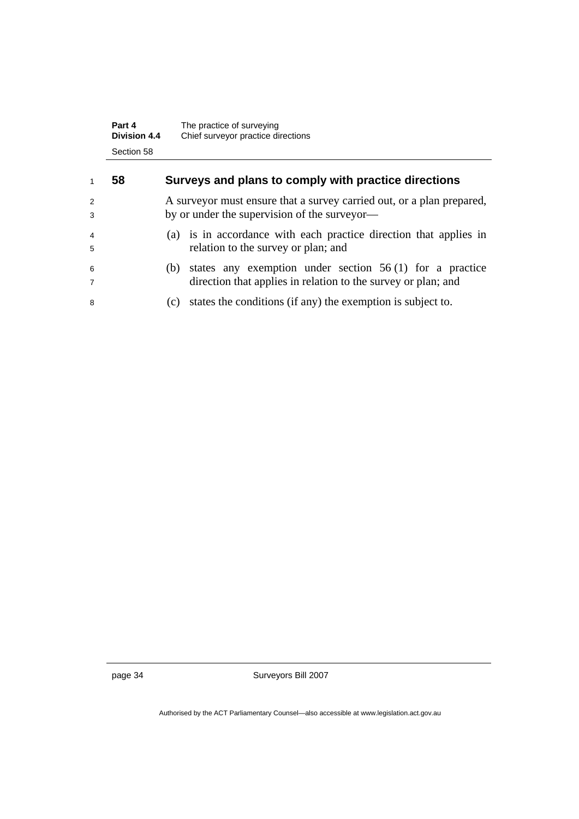|   | Part 4<br><b>Division 4.4</b><br>Section 58 | The practice of surveying<br>Chief surveyor practice directions        |
|---|---------------------------------------------|------------------------------------------------------------------------|
| 1 | 58                                          | Surveys and plans to comply with practice directions                   |
| 2 |                                             | A survey or must ensure that a survey carried out, or a plan prepared, |
| 3 |                                             | by or under the supervision of the surveyor—                           |
| 4 |                                             | (a) is in accordance with each practice direction that applies in      |
| 5 |                                             | relation to the survey or plan; and                                    |
| 6 |                                             | states any exemption under section $56(1)$ for a practice<br>(b)       |
| 7 |                                             | direction that applies in relation to the survey or plan; and          |
| 8 |                                             | states the conditions (if any) the exemption is subject to.<br>(c)     |

page 34 Surveyors Bill 2007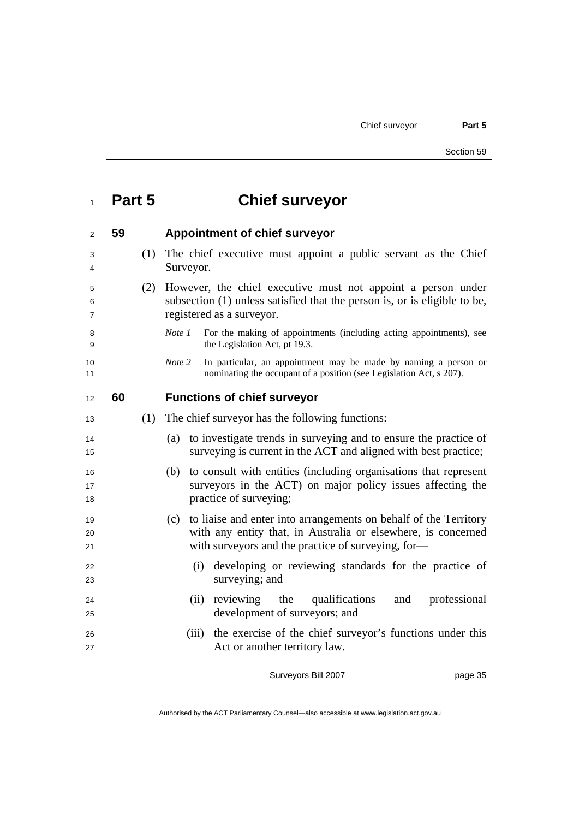| Part 5 | <b>Chief surveyor</b> |
|--------|-----------------------|
|--------|-----------------------|

| 2                        | 59 |     | <b>Appointment of chief surveyor</b>                                                                                                                                   |
|--------------------------|----|-----|------------------------------------------------------------------------------------------------------------------------------------------------------------------------|
| 3<br>4                   |    | (1) | The chief executive must appoint a public servant as the Chief<br>Surveyor.                                                                                            |
| 5<br>6<br>$\overline{7}$ |    | (2) | However, the chief executive must not appoint a person under<br>subsection (1) unless satisfied that the person is, or is eligible to be,<br>registered as a surveyor. |
| 8<br>9                   |    |     | Note 1<br>For the making of appointments (including acting appointments), see<br>the Legislation Act, pt 19.3.                                                         |
| 10<br>11                 |    |     | In particular, an appointment may be made by naming a person or<br>Note 2<br>nominating the occupant of a position (see Legislation Act, s 207).                       |
| 12                       | 60 |     | <b>Functions of chief surveyor</b>                                                                                                                                     |
| 13                       |    | (1) | The chief surveyor has the following functions:                                                                                                                        |
| 14<br>15                 |    |     | to investigate trends in surveying and to ensure the practice of<br>(a)<br>surveying is current in the ACT and aligned with best practice;                             |
| 16<br>17<br>18           |    |     | (b) to consult with entities (including organisations that represent<br>surveyors in the ACT) on major policy issues affecting the<br>practice of surveying;           |
| 19                       |    |     | (c) to liaise and enter into arrangements on behalf of the Territory                                                                                                   |
| 20<br>21                 |    |     | with any entity that, in Australia or elsewhere, is concerned<br>with surveyors and the practice of surveying, for-                                                    |
| 22<br>23                 |    |     | (i) developing or reviewing standards for the practice of<br>surveying; and                                                                                            |
| 24<br>25                 |    |     | reviewing<br>qualifications<br>professional<br>(ii)<br>the<br>and<br>development of surveyors; and                                                                     |
| 26<br>27                 |    |     | the exercise of the chief surveyor's functions under this<br>(iii)<br>Act or another territory law.                                                                    |

page 35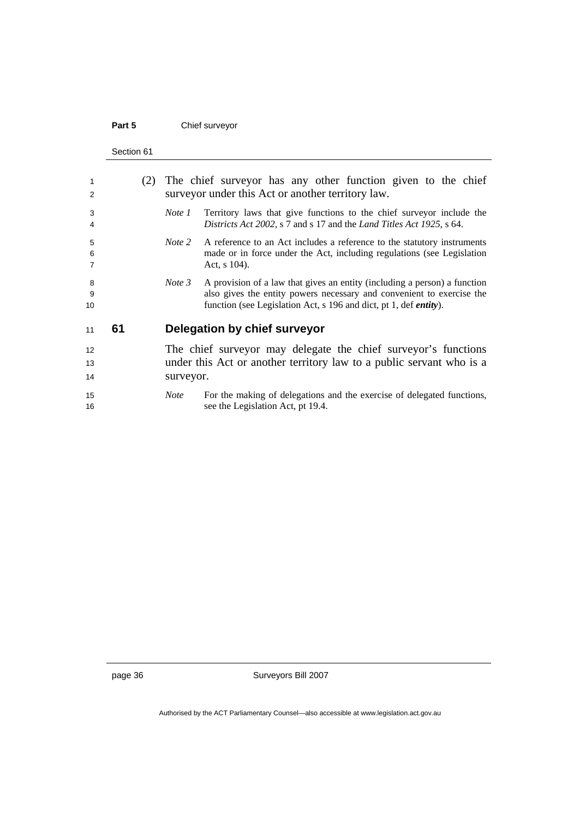### Part 5 **Chief surveyor**

Section 61

| 1<br>2         |    | (2) | The chief surveyor has any other function given to the chief<br>surveyor under this Act or another territory law. |                                                                                                                                                                                                                                 |  |
|----------------|----|-----|-------------------------------------------------------------------------------------------------------------------|---------------------------------------------------------------------------------------------------------------------------------------------------------------------------------------------------------------------------------|--|
| 3<br>4         |    |     | Note 1                                                                                                            | Territory laws that give functions to the chief surveyor include the<br>Districts Act 2002, s 7 and s 17 and the Land Titles Act 1925, s 64.                                                                                    |  |
| 5<br>6<br>7    |    |     | Note 2                                                                                                            | A reference to an Act includes a reference to the statutory instruments<br>made or in force under the Act, including regulations (see Legislation<br>Act, $s$ 104).                                                             |  |
| 8<br>9<br>10   |    |     | Note 3                                                                                                            | A provision of a law that gives an entity (including a person) a function<br>also gives the entity powers necessary and convenient to exercise the<br>function (see Legislation Act, s 196 and dict, pt 1, def <i>entity</i> ). |  |
| 11             | 61 |     |                                                                                                                   | Delegation by chief surveyor                                                                                                                                                                                                    |  |
| 12<br>13<br>14 |    |     | surveyor.                                                                                                         | The chief surveyor may delegate the chief surveyor's functions<br>under this Act or another territory law to a public servant who is a                                                                                          |  |
| 15<br>16       |    |     | <i>Note</i>                                                                                                       | For the making of delegations and the exercise of delegated functions,<br>see the Legislation Act, pt 19.4.                                                                                                                     |  |

page 36 Surveyors Bill 2007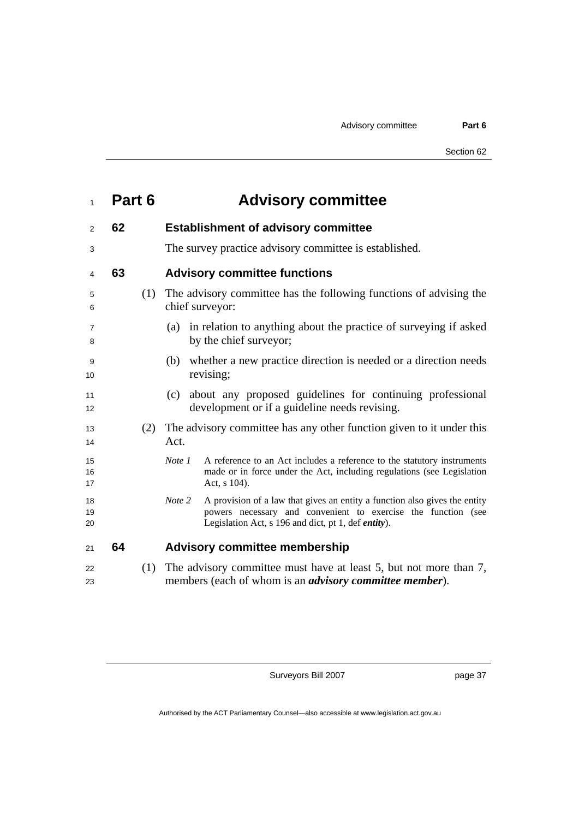| $\mathbf{1}$   | Part 6 | <b>Advisory committee</b>                                                                                                                                                                                            |
|----------------|--------|----------------------------------------------------------------------------------------------------------------------------------------------------------------------------------------------------------------------|
| 2              | 62     | <b>Establishment of advisory committee</b>                                                                                                                                                                           |
| 3              |        | The survey practice advisory committee is established.                                                                                                                                                               |
| 4              | 63     | <b>Advisory committee functions</b>                                                                                                                                                                                  |
| 5<br>6         | (1)    | The advisory committee has the following functions of advising the<br>chief surveyor:                                                                                                                                |
| 7<br>8         |        | in relation to anything about the practice of surveying if asked<br>(a)<br>by the chief surveyor;                                                                                                                    |
| 9<br>10        |        | whether a new practice direction is needed or a direction needs<br>(b)<br>revising;                                                                                                                                  |
| 11<br>12       |        | about any proposed guidelines for continuing professional<br>(c)<br>development or if a guideline needs revising.                                                                                                    |
| 13<br>14       | (2)    | The advisory committee has any other function given to it under this<br>Act.                                                                                                                                         |
| 15<br>16<br>17 |        | Note 1<br>A reference to an Act includes a reference to the statutory instruments<br>made or in force under the Act, including regulations (see Legislation<br>Act, s 104).                                          |
| 18<br>19<br>20 |        | Note 2<br>A provision of a law that gives an entity a function also gives the entity<br>powers necessary and convenient to exercise the function (see<br>Legislation Act, s 196 and dict, pt 1, def <i>entity</i> ). |
| 21             | 64     | <b>Advisory committee membership</b>                                                                                                                                                                                 |
| 22<br>23       | (1)    | The advisory committee must have at least 5, but not more than 7,<br>members (each of whom is an <i>advisory committee member</i> ).                                                                                 |

page 37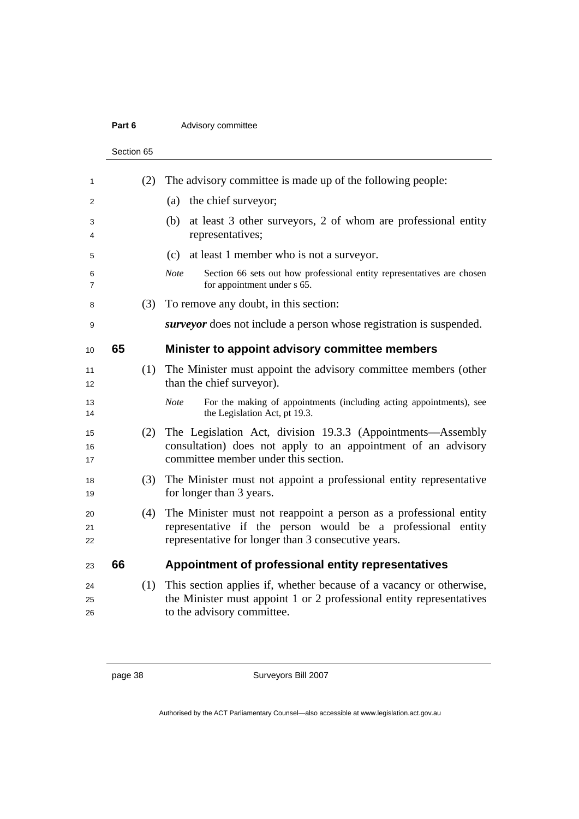#### **Part 6 Advisory committee**

Section 65 (2) The advisory committee is made up of the following people: 2 (a) the chief surveyor; (b) at least 3 other surveyors, 2 of whom are professional entity 4 representatives; (c) at least 1 member who is not a surveyor. *Note* Section 66 sets out how professional entity representatives are chosen for appointment under s 65. (3) To remove any doubt, in this section: *surveyor* does not include a person whose registration is suspended. **65 Minister to appoint advisory committee members**  (1) The Minister must appoint the advisory committee members (other 12 than the chief surveyor). *Note* For the making of appointments (including acting appointments), see 14 the Legislation Act, pt 19.3. (2) The Legislation Act, division 19.3.3 (Appointments––Assembly consultation) does not apply to an appointment of an advisory committee member under this section. (3) The Minister must not appoint a professional entity representative 19 for longer than 3 years. (4) The Minister must not reappoint a person as a professional entity **external representative if the person would be a professional entity** representative for longer than 3 consecutive years. **66 Appointment of professional entity representatives**  (1) This section applies if, whether because of a vacancy or otherwise, 25 the Minister must appoint 1 or 2 professional entity representatives to the advisory committee.

page 38 Surveyors Bill 2007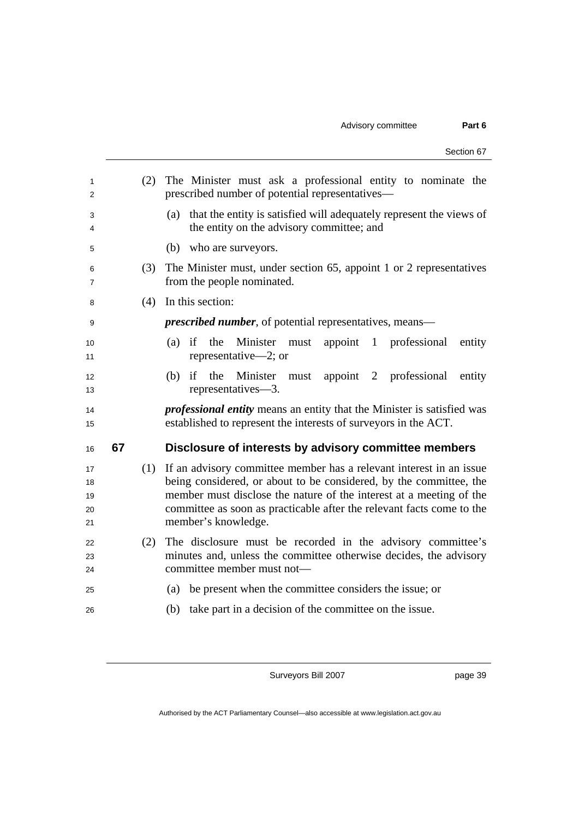|                            |    |     | Section 67                                                                                                                                                                                                                                                                                                        |
|----------------------------|----|-----|-------------------------------------------------------------------------------------------------------------------------------------------------------------------------------------------------------------------------------------------------------------------------------------------------------------------|
| 1<br>2                     |    | (2) | The Minister must ask a professional entity to nominate the<br>prescribed number of potential representatives—                                                                                                                                                                                                    |
| 3<br>4                     |    |     | that the entity is satisfied will adequately represent the views of<br>(a)<br>the entity on the advisory committee; and                                                                                                                                                                                           |
| 5                          |    |     | (b)<br>who are surveyors.                                                                                                                                                                                                                                                                                         |
| 6<br>7                     |    | (3) | The Minister must, under section 65, appoint 1 or 2 representatives<br>from the people nominated.                                                                                                                                                                                                                 |
| 8                          |    | (4) | In this section:                                                                                                                                                                                                                                                                                                  |
| 9                          |    |     | <i>prescribed number</i> , of potential representatives, means—                                                                                                                                                                                                                                                   |
| 10<br>11                   |    |     | Minister<br>if<br>the<br>appoint<br>$\overline{1}$<br>professional<br>entity<br>(a)<br>must<br>representative—2; or                                                                                                                                                                                               |
| 12<br>13                   |    |     | Minister<br>the<br>appoint 2<br>professional<br>(b)<br>if<br>entity<br>must<br>representatives-3.                                                                                                                                                                                                                 |
| 14<br>15                   |    |     | <i>professional entity</i> means an entity that the Minister is satisfied was<br>established to represent the interests of surveyors in the ACT.                                                                                                                                                                  |
| 16                         | 67 |     | Disclosure of interests by advisory committee members                                                                                                                                                                                                                                                             |
| 17<br>18<br>19<br>20<br>21 |    | (1) | If an advisory committee member has a relevant interest in an issue.<br>being considered, or about to be considered, by the committee, the<br>member must disclose the nature of the interest at a meeting of the<br>committee as soon as practicable after the relevant facts come to the<br>member's knowledge. |
| 22<br>23<br>24             |    | (2) | The disclosure must be recorded in the advisory committee's<br>minutes and, unless the committee otherwise decides, the advisory<br>committee member must not-                                                                                                                                                    |
| 25                         |    |     | be present when the committee considers the issue; or<br>(a)                                                                                                                                                                                                                                                      |
| 26                         |    |     | take part in a decision of the committee on the issue.<br>(b)                                                                                                                                                                                                                                                     |
|                            |    |     |                                                                                                                                                                                                                                                                                                                   |

page 39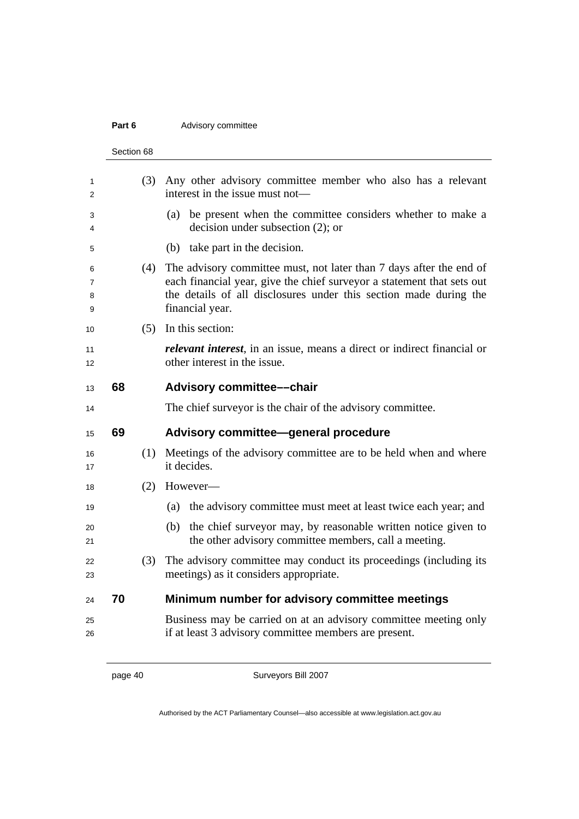### **Part 6 Advisory committee**

|                  | Section 68 |                                                                                                                                                                                                                                       |
|------------------|------------|---------------------------------------------------------------------------------------------------------------------------------------------------------------------------------------------------------------------------------------|
| 1<br>2           | (3)        | Any other advisory committee member who also has a relevant<br>interest in the issue must not—                                                                                                                                        |
| 3<br>4           |            | (a) be present when the committee considers whether to make a<br>decision under subsection $(2)$ ; or                                                                                                                                 |
| 5                |            | (b) take part in the decision.                                                                                                                                                                                                        |
| 6<br>7<br>8<br>9 | (4)        | The advisory committee must, not later than 7 days after the end of<br>each financial year, give the chief surveyor a statement that sets out<br>the details of all disclosures under this section made during the<br>financial year. |
| 10               | (5)        | In this section:                                                                                                                                                                                                                      |
| 11<br>12         |            | <i>relevant interest</i> , in an issue, means a direct or indirect financial or<br>other interest in the issue.                                                                                                                       |
| 13               | 68         | <b>Advisory committee--chair</b>                                                                                                                                                                                                      |
| 14               |            | The chief surveyor is the chair of the advisory committee.                                                                                                                                                                            |
|                  |            |                                                                                                                                                                                                                                       |
| 15               | 69         | Advisory committee—general procedure                                                                                                                                                                                                  |
| 16<br>17         | (1)        | Meetings of the advisory committee are to be held when and where<br>it decides.                                                                                                                                                       |
| 18               | (2)        | However-                                                                                                                                                                                                                              |
| 19               |            | the advisory committee must meet at least twice each year; and<br>(a)                                                                                                                                                                 |
| 20<br>21         |            | the chief surveyor may, by reasonable written notice given to<br>(b)<br>the other advisory committee members, call a meeting.                                                                                                         |
| 22<br>23         | (3)        | The advisory committee may conduct its proceedings (including its<br>meetings) as it considers appropriate.                                                                                                                           |
| 24               | 70         | Minimum number for advisory committee meetings                                                                                                                                                                                        |
| 25<br>26         |            | Business may be carried on at an advisory committee meeting only<br>if at least 3 advisory committee members are present.                                                                                                             |

page 40 Surveyors Bill 2007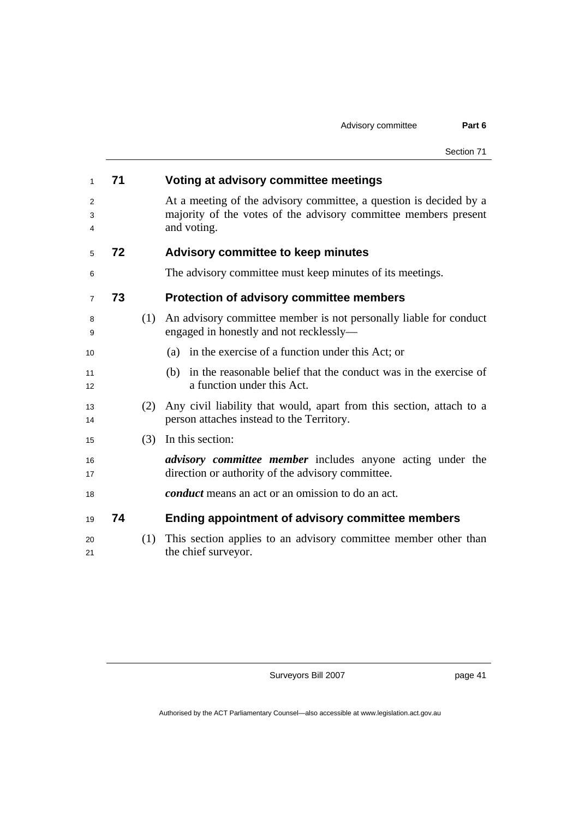| 1              | 71 |     | Voting at advisory committee meetings                                                                                                                |
|----------------|----|-----|------------------------------------------------------------------------------------------------------------------------------------------------------|
| 2<br>3<br>4    |    |     | At a meeting of the advisory committee, a question is decided by a<br>majority of the votes of the advisory committee members present<br>and voting. |
| 5              | 72 |     | <b>Advisory committee to keep minutes</b>                                                                                                            |
| 6              |    |     | The advisory committee must keep minutes of its meetings.                                                                                            |
| $\overline{7}$ | 73 |     | Protection of advisory committee members                                                                                                             |
| 8<br>9         |    | (1) | An advisory committee member is not personally liable for conduct<br>engaged in honestly and not recklessly-                                         |
| 10             |    |     | (a) in the exercise of a function under this Act; or                                                                                                 |
| 11<br>12       |    |     | in the reasonable belief that the conduct was in the exercise of<br>(b)<br>a function under this Act.                                                |
| 13<br>14       |    | (2) | Any civil liability that would, apart from this section, attach to a<br>person attaches instead to the Territory.                                    |
| 15             |    | (3) | In this section:                                                                                                                                     |
| 16<br>17       |    |     | <i>advisory committee member</i> includes anyone acting under the<br>direction or authority of the advisory committee.                               |
| 18             |    |     | <i>conduct</i> means an act or an omission to do an act.                                                                                             |
| 19             | 74 |     | Ending appointment of advisory committee members                                                                                                     |
| 20<br>21       |    | (1) | This section applies to an advisory committee member other than<br>the chief surveyor.                                                               |

page 41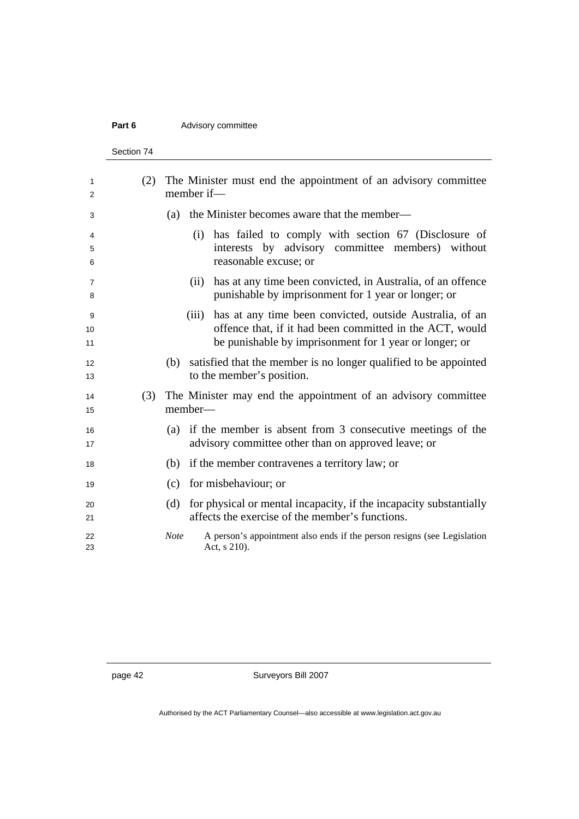### **Part 6 Advisory committee**

Section 74

| 1                   | (2) |             | member if- | The Minister must end the appointment of an advisory committee                                                     |
|---------------------|-----|-------------|------------|--------------------------------------------------------------------------------------------------------------------|
| 2                   |     |             |            |                                                                                                                    |
| 3                   |     | (a)         |            | the Minister becomes aware that the member—                                                                        |
| 4                   |     |             | (i)        | has failed to comply with section 67 (Disclosure of                                                                |
| 5<br>6              |     |             |            | interests by advisory committee members) without<br>reasonable excuse; or                                          |
| $\overline{7}$<br>8 |     |             | (ii)       | has at any time been convicted, in Australia, of an offence<br>punishable by imprisonment for 1 year or longer; or |
|                     |     |             |            |                                                                                                                    |
| 9                   |     |             | (iii)      | has at any time been convicted, outside Australia, of an                                                           |
| 10<br>11            |     |             |            | offence that, if it had been committed in the ACT, would<br>be punishable by imprisonment for 1 year or longer; or |
|                     |     |             |            |                                                                                                                    |
| 12<br>13            |     | (b)         |            | satisfied that the member is no longer qualified to be appointed<br>to the member's position.                      |
| 14                  | (3) |             |            | The Minister may end the appointment of an advisory committee                                                      |
| 15                  |     |             | member-    |                                                                                                                    |
| 16                  |     |             |            | (a) if the member is absent from 3 consecutive meetings of the                                                     |
| 17                  |     |             |            | advisory committee other than on approved leave; or                                                                |
| 18                  |     | (b)         |            | if the member contravenes a territory law; or                                                                      |
| 19                  |     | (c)         |            | for misbehaviour; or                                                                                               |
| 20                  |     | (d)         |            | for physical or mental incapacity, if the incapacity substantially                                                 |
| 21                  |     |             |            | affects the exercise of the member's functions.                                                                    |
| 22<br>23            |     | <b>Note</b> |            | A person's appointment also ends if the person resigns (see Legislation<br>Act, s 210).                            |
|                     |     |             |            |                                                                                                                    |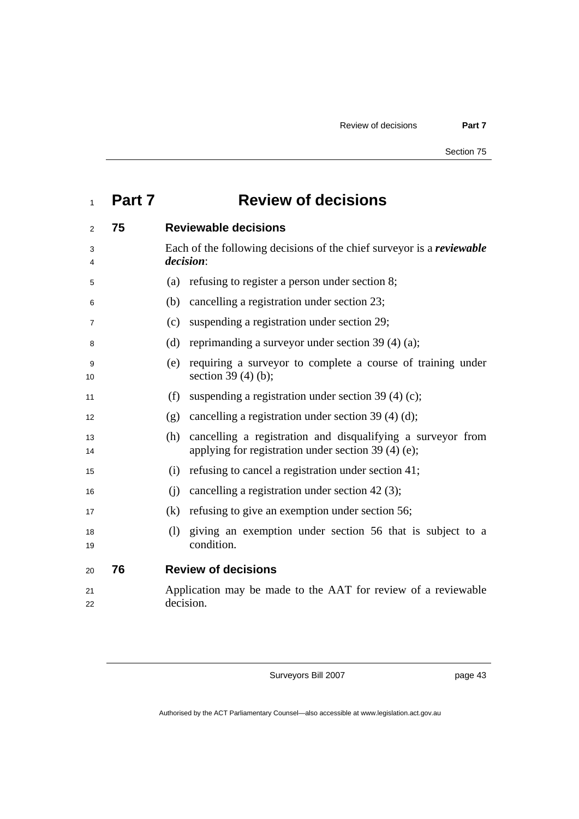## **Part 7 Review of decisions**

| 2        | 75 | <b>Reviewable decisions</b>                                                                                               |
|----------|----|---------------------------------------------------------------------------------------------------------------------------|
| 3<br>4   |    | Each of the following decisions of the chief survey or is a reviewable<br><i>decision:</i>                                |
| 5        |    | refusing to register a person under section 8;<br>(a)                                                                     |
| 6        |    | cancelling a registration under section 23;<br>(b)                                                                        |
| 7        |    | suspending a registration under section 29;<br>(c)                                                                        |
| 8        |    | reprimanding a surveyor under section 39 (4) (a);<br>(d)                                                                  |
| 9<br>10  |    | requiring a surveyor to complete a course of training under<br>(e)<br>section $39(4)(b)$ ;                                |
| 11       |    | suspending a registration under section 39 (4) (c);<br>(f)                                                                |
| 12       |    | cancelling a registration under section 39 (4) (d);<br>(g)                                                                |
| 13<br>14 |    | cancelling a registration and disqualifying a surveyor from<br>(h)<br>applying for registration under section 39 (4) (e); |
| 15       |    | refusing to cancel a registration under section 41;<br>(i)                                                                |
| 16       |    | cancelling a registration under section 42 (3);<br>(i)                                                                    |
| 17       |    | refusing to give an exemption under section 56;<br>(k)                                                                    |
| 18<br>19 |    | giving an exemption under section 56 that is subject to a<br>(1)<br>condition.                                            |
| 20       | 76 | <b>Review of decisions</b>                                                                                                |
| 21<br>22 |    | Application may be made to the AAT for review of a reviewable<br>decision.                                                |
|          |    |                                                                                                                           |

Surveyors Bill 2007

page 43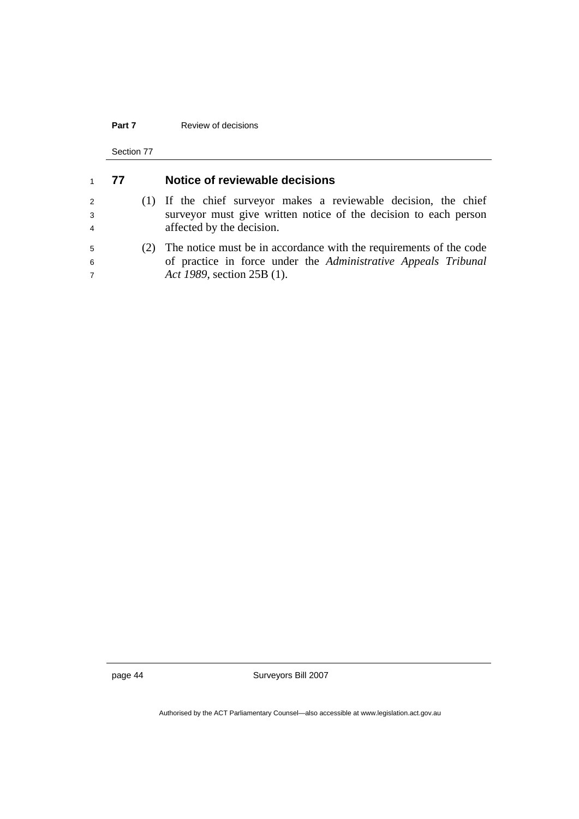#### **Part 7 Review of decisions**

Section 77

| $\mathbf{1}$             | 77 | Notice of reviewable decisions                                                                                                                                     |
|--------------------------|----|--------------------------------------------------------------------------------------------------------------------------------------------------------------------|
| 2<br>3<br>$\overline{4}$ |    | (1) If the chief surveyor makes a reviewable decision, the chief<br>surveyor must give written notice of the decision to each person<br>affected by the decision.  |
| 5<br>6<br>$\overline{7}$ |    | The notice must be in accordance with the requirements of the code<br>of practice in force under the Administrative Appeals Tribunal<br>Act 1989, section 25B (1). |

page 44 Surveyors Bill 2007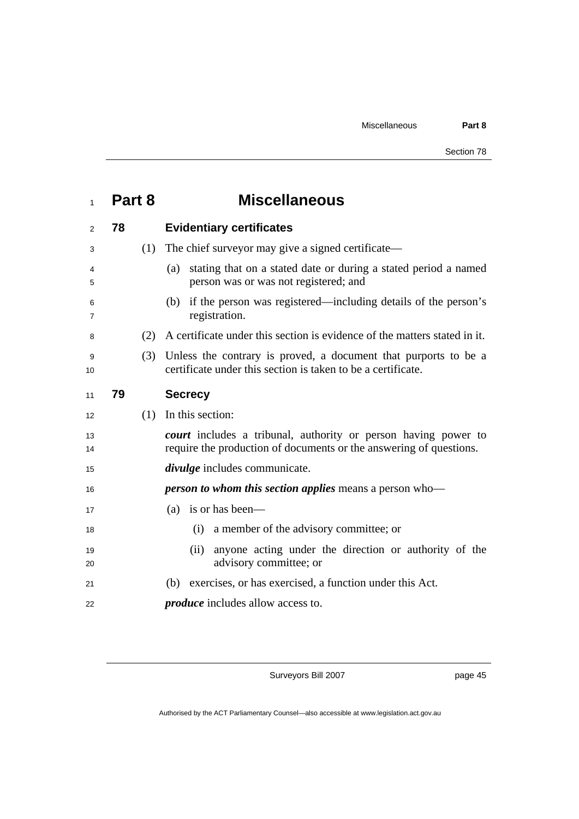| $\mathbf{1}$ | Part 8 | <b>Miscellaneous</b>                                                                                                                 |
|--------------|--------|--------------------------------------------------------------------------------------------------------------------------------------|
| 2            | 78     | <b>Evidentiary certificates</b>                                                                                                      |
| 3            | (1)    | The chief surveyor may give a signed certificate—                                                                                    |
| 4<br>5       |        | stating that on a stated date or during a stated period a named<br>(a)<br>person was or was not registered; and                      |
| 6<br>7       |        | if the person was registered—including details of the person's<br>(b)<br>registration.                                               |
| 8            | (2)    | A certificate under this section is evidence of the matters stated in it.                                                            |
| 9<br>10      | (3)    | Unless the contrary is proved, a document that purports to be a<br>certificate under this section is taken to be a certificate.      |
| 11           | 79     | <b>Secrecy</b>                                                                                                                       |
| 12           | (1)    | In this section:                                                                                                                     |
| 13<br>14     |        | court includes a tribunal, authority or person having power to<br>require the production of documents or the answering of questions. |
| 15           |        | <i>divulge</i> includes communicate.                                                                                                 |
| 16           |        | <i>person to whom this section applies means a person who</i> —                                                                      |
| 17           |        | is or has been—<br>(a)                                                                                                               |
| 18           |        | a member of the advisory committee; or<br>(i)                                                                                        |
| 19<br>20     |        | anyone acting under the direction or authority of the<br>(ii)<br>advisory committee; or                                              |
| 21           |        | (b) exercises, or has exercised, a function under this Act.                                                                          |
| 22           |        | <i>produce</i> includes allow access to.                                                                                             |

page 45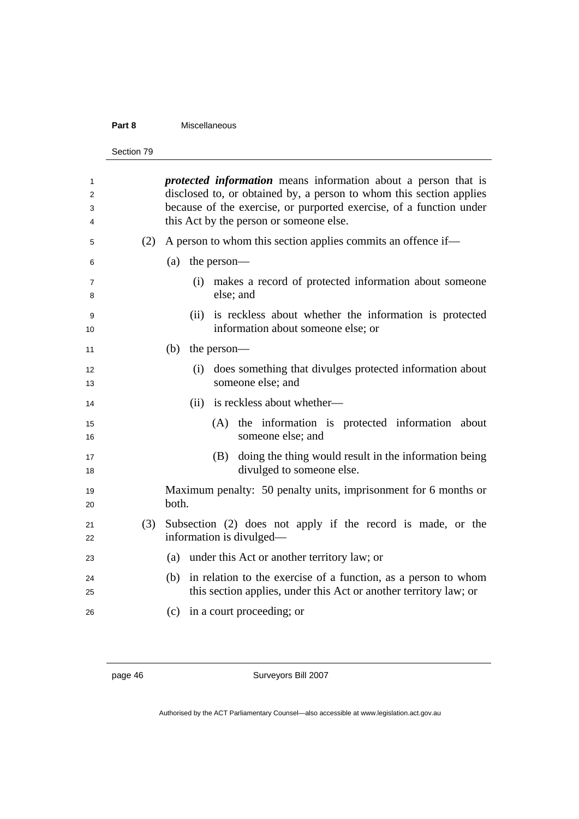#### **Part 8** Miscellaneous

```
Section 79
```

| 1<br>2<br>3<br>4    |     | <i>protected information</i> means information about a person that is<br>disclosed to, or obtained by, a person to whom this section applies<br>because of the exercise, or purported exercise, of a function under<br>this Act by the person or someone else. |
|---------------------|-----|----------------------------------------------------------------------------------------------------------------------------------------------------------------------------------------------------------------------------------------------------------------|
| 5                   | (2) | A person to whom this section applies commits an offence if—                                                                                                                                                                                                   |
| 6                   |     | the person—<br>(a)                                                                                                                                                                                                                                             |
| $\overline{7}$<br>8 |     | (i) makes a record of protected information about someone<br>else; and                                                                                                                                                                                         |
| 9<br>10             |     | (ii) is reckless about whether the information is protected<br>information about someone else; or                                                                                                                                                              |
| 11                  |     | (b)<br>the person—                                                                                                                                                                                                                                             |
| 12<br>13            |     | does something that divulges protected information about<br>(i)<br>someone else; and                                                                                                                                                                           |
| 14                  |     | (ii) is reckless about whether—                                                                                                                                                                                                                                |
| 15<br>16            |     | (A) the information is protected information about<br>someone else; and                                                                                                                                                                                        |
| 17<br>18            |     | (B) doing the thing would result in the information being<br>divulged to someone else.                                                                                                                                                                         |
| 19<br>20            |     | Maximum penalty: 50 penalty units, imprisonment for 6 months or<br>both.                                                                                                                                                                                       |
| 21<br>22            | (3) | Subsection (2) does not apply if the record is made, or the<br>information is divulged—                                                                                                                                                                        |
| 23                  |     | (a) under this Act or another territory law; or                                                                                                                                                                                                                |
| 24<br>25            |     | (b) in relation to the exercise of a function, as a person to whom<br>this section applies, under this Act or another territory law; or                                                                                                                        |
| 26                  |     | (c) in a court proceeding; or                                                                                                                                                                                                                                  |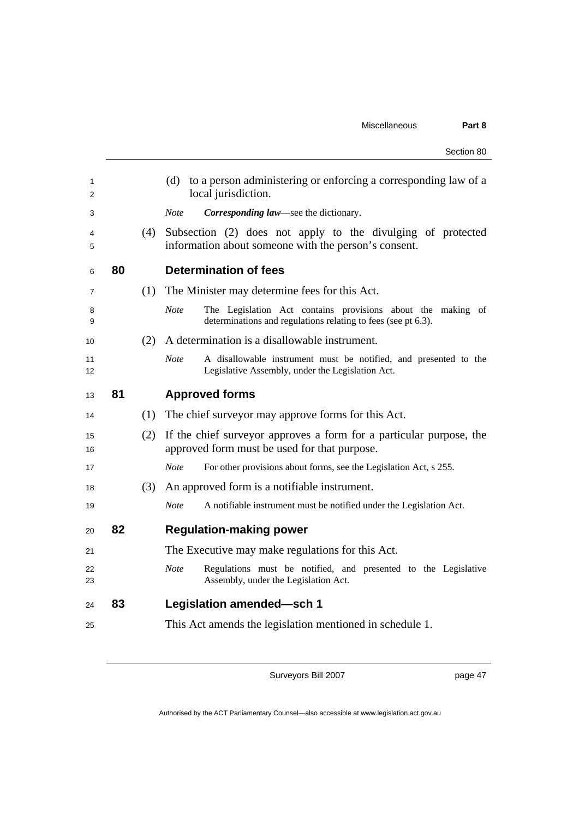|          |    |     | Section 80                                                                                                                                  |
|----------|----|-----|---------------------------------------------------------------------------------------------------------------------------------------------|
| 1<br>2   |    |     | to a person administering or enforcing a corresponding law of a<br>(d)<br>local jurisdiction.                                               |
| 3        |    |     | <b>Note</b><br>Corresponding law—see the dictionary.                                                                                        |
| 4<br>5   |    | (4) | Subsection (2) does not apply to the divulging of protected<br>information about someone with the person's consent.                         |
| 6        | 80 |     | <b>Determination of fees</b>                                                                                                                |
| 7        |    | (1) | The Minister may determine fees for this Act.                                                                                               |
| 8<br>9   |    |     | <b>Note</b><br>The Legislation Act contains provisions about the making of<br>determinations and regulations relating to fees (see pt 6.3). |
| 10       |    | (2) | A determination is a disallowable instrument.                                                                                               |
| 11<br>12 |    |     | <b>Note</b><br>A disallowable instrument must be notified, and presented to the<br>Legislative Assembly, under the Legislation Act.         |
| 13       | 81 |     | <b>Approved forms</b>                                                                                                                       |
| 14       |    | (1) | The chief surveyor may approve forms for this Act.                                                                                          |
| 15<br>16 |    | (2) | If the chief surveyor approves a form for a particular purpose, the<br>approved form must be used for that purpose.                         |
| 17       |    |     | <b>Note</b><br>For other provisions about forms, see the Legislation Act, s 255.                                                            |
| 18       |    | (3) | An approved form is a notifiable instrument.                                                                                                |
| 19       |    |     | <b>Note</b><br>A notifiable instrument must be notified under the Legislation Act.                                                          |
| 20       | 82 |     | <b>Regulation-making power</b>                                                                                                              |
| 21       |    |     | The Executive may make regulations for this Act.                                                                                            |
| 22<br>23 |    |     | <b>Note</b><br>Regulations must be notified, and presented to the Legislative<br>Assembly, under the Legislation Act.                       |
| 24       | 83 |     | <b>Legislation amended-sch 1</b>                                                                                                            |
| 25       |    |     | This Act amends the legislation mentioned in schedule 1.                                                                                    |

page 47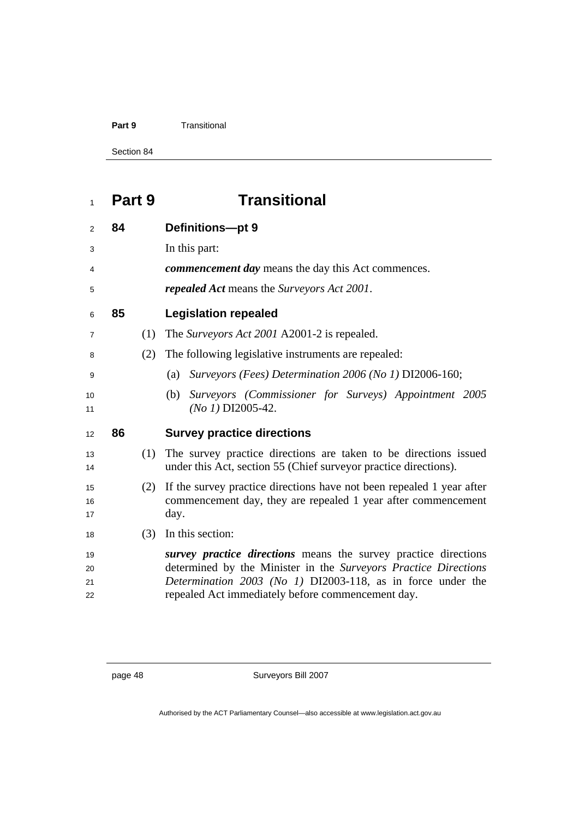#### **Part 9 Transitional**

Section 84

# **Part 9 Transitional**

| 2              | 84 |     | Definitions-pt 9                                                                                                                               |
|----------------|----|-----|------------------------------------------------------------------------------------------------------------------------------------------------|
| 3              |    |     | In this part:                                                                                                                                  |
| 4              |    |     | <i>commencement day</i> means the day this Act commences.                                                                                      |
| 5              |    |     | <i>repealed Act</i> means the Surveyors Act 2001.                                                                                              |
| 6              | 85 |     | <b>Legislation repealed</b>                                                                                                                    |
| $\overline{7}$ |    | (1) | The Surveyors Act 2001 A2001-2 is repealed.                                                                                                    |
| 8              |    | (2) | The following legislative instruments are repealed:                                                                                            |
| 9              |    |     | Surveyors (Fees) Determination 2006 (No 1) DI2006-160;<br>(a)                                                                                  |
| 10<br>11       |    |     | Surveyors (Commissioner for Surveys) Appointment 2005<br>(b)<br>$(No 1)$ DI2005-42.                                                            |
|                |    |     |                                                                                                                                                |
| 12             | 86 |     | <b>Survey practice directions</b>                                                                                                              |
| 13<br>14       |    | (1) | The survey practice directions are taken to be directions issued<br>under this Act, section 55 (Chief surveyor practice directions).           |
| 15<br>16<br>17 |    | (2) | If the survey practice directions have not been repealed 1 year after<br>commencement day, they are repealed 1 year after commencement<br>day. |
| 18             |    | (3) | In this section:                                                                                                                               |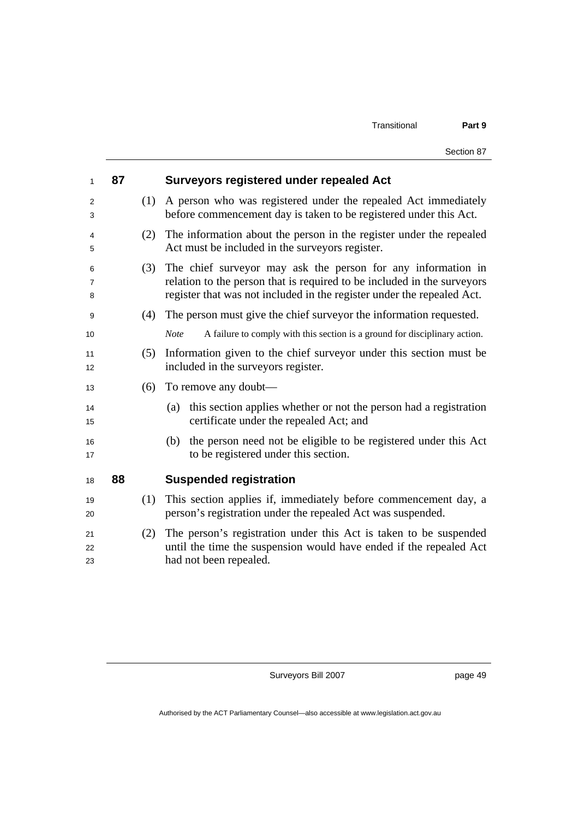| 1              | 87 |     | <b>Surveyors registered under repealed Act</b>                                                                                                                                                                    |
|----------------|----|-----|-------------------------------------------------------------------------------------------------------------------------------------------------------------------------------------------------------------------|
| 2<br>3         |    | (1) | A person who was registered under the repealed Act immediately<br>before commencement day is taken to be registered under this Act.                                                                               |
| 4<br>5         |    | (2) | The information about the person in the register under the repealed<br>Act must be included in the surveyors register.                                                                                            |
| 6<br>7<br>8    |    | (3) | The chief surveyor may ask the person for any information in<br>relation to the person that is required to be included in the surveyors<br>register that was not included in the register under the repealed Act. |
| 9              |    | (4) | The person must give the chief survey or the information requested.                                                                                                                                               |
| 10             |    |     | A failure to comply with this section is a ground for disciplinary action.<br><b>Note</b>                                                                                                                         |
| 11<br>12       |    | (5) | Information given to the chief surveyor under this section must be<br>included in the surveyors register.                                                                                                         |
| 13             |    | (6) | To remove any doubt—                                                                                                                                                                                              |
| 14<br>15       |    |     | this section applies whether or not the person had a registration<br>(a)<br>certificate under the repealed Act; and                                                                                               |
| 16<br>17       |    |     | the person need not be eligible to be registered under this Act<br>(b)<br>to be registered under this section.                                                                                                    |
| 18             | 88 |     | <b>Suspended registration</b>                                                                                                                                                                                     |
| 19<br>20       |    | (1) | This section applies if, immediately before commencement day, a<br>person's registration under the repealed Act was suspended.                                                                                    |
| 21<br>22<br>23 |    | (2) | The person's registration under this Act is taken to be suspended<br>until the time the suspension would have ended if the repealed Act<br>had not been repealed.                                                 |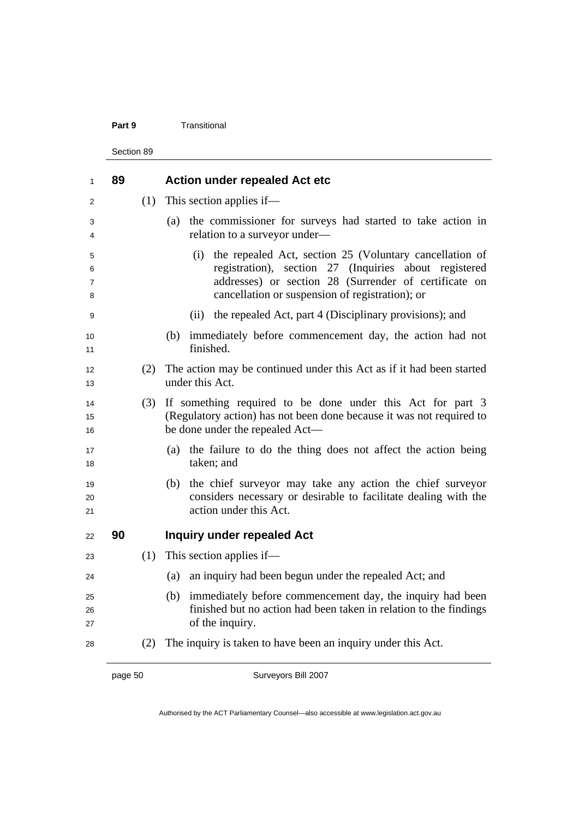#### **Part 9 Transitional**

Section 89

| 1                | 89 |     | <b>Action under repealed Act etc</b>                                                                                                                                                                                                |
|------------------|----|-----|-------------------------------------------------------------------------------------------------------------------------------------------------------------------------------------------------------------------------------------|
| 2                |    | (1) | This section applies if—                                                                                                                                                                                                            |
| 3<br>4           |    |     | the commissioner for surveys had started to take action in<br>(a)<br>relation to a surveyor under-                                                                                                                                  |
| 5<br>6<br>7<br>8 |    |     | the repealed Act, section 25 (Voluntary cancellation of<br>(i)<br>registration), section 27 (Inquiries about registered<br>addresses) or section 28 (Surrender of certificate on<br>cancellation or suspension of registration); or |
| 9                |    |     | the repealed Act, part 4 (Disciplinary provisions); and<br>(i)                                                                                                                                                                      |
| 10<br>11         |    |     | immediately before commencement day, the action had not<br>(b)<br>finished.                                                                                                                                                         |
| 12<br>13         |    | (2) | The action may be continued under this Act as if it had been started<br>under this Act.                                                                                                                                             |
| 14<br>15<br>16   |    | (3) | If something required to be done under this Act for part 3<br>(Regulatory action) has not been done because it was not required to<br>be done under the repealed Act-                                                               |
| 17<br>18         |    |     | the failure to do the thing does not affect the action being<br>(a)<br>taken; and                                                                                                                                                   |
| 19<br>20<br>21   |    |     | the chief surveyor may take any action the chief surveyor<br>(b)<br>considers necessary or desirable to facilitate dealing with the<br>action under this Act.                                                                       |
| 22               | 90 |     | <b>Inquiry under repealed Act</b>                                                                                                                                                                                                   |
| 23               |    | (1) | This section applies if—                                                                                                                                                                                                            |
| 24               |    |     | an inquiry had been begun under the repealed Act; and<br>(a)                                                                                                                                                                        |
| 25<br>26<br>27   |    |     | immediately before commencement day, the inquiry had been<br>(b)<br>finished but no action had been taken in relation to the findings<br>of the inquiry.                                                                            |
| 28               |    | (2) | The inquiry is taken to have been an inquiry under this Act.                                                                                                                                                                        |

page 50 Surveyors Bill 2007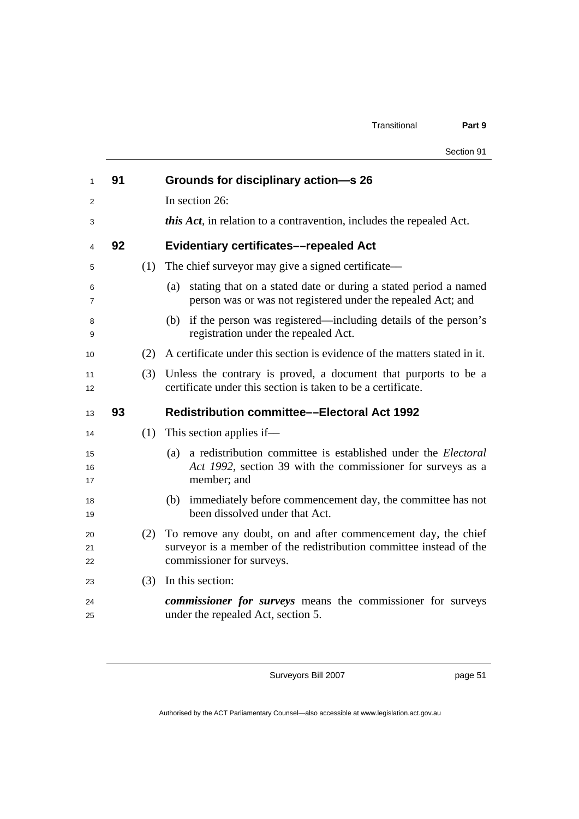|                     |    |     | Section 91                                                                                                                                                        |
|---------------------|----|-----|-------------------------------------------------------------------------------------------------------------------------------------------------------------------|
| $\mathbf{1}$        | 91 |     | Grounds for disciplinary action-s 26                                                                                                                              |
| 2                   |    |     | In section 26:                                                                                                                                                    |
| 3                   |    |     | <i>this Act</i> , in relation to a contravention, includes the repealed Act.                                                                                      |
| 4                   | 92 |     | <b>Evidentiary certificates-repealed Act</b>                                                                                                                      |
| 5                   |    | (1) | The chief surveyor may give a signed certificate—                                                                                                                 |
| 6<br>$\overline{7}$ |    |     | stating that on a stated date or during a stated period a named<br>(a)<br>person was or was not registered under the repealed Act; and                            |
| 8<br>9              |    |     | (b) if the person was registered—including details of the person's<br>registration under the repealed Act.                                                        |
| 10                  |    | (2) | A certificate under this section is evidence of the matters stated in it.                                                                                         |
| 11<br>12            |    | (3) | Unless the contrary is proved, a document that purports to be a<br>certificate under this section is taken to be a certificate.                                   |
| 13                  | 93 |     | <b>Redistribution committee—Electoral Act 1992</b>                                                                                                                |
| 14                  |    |     | $(1)$ This section applies if—                                                                                                                                    |
| 15<br>16<br>17      |    |     | a redistribution committee is established under the <i>Electoral</i><br>(a)<br>Act 1992, section 39 with the commissioner for surveys as a<br>member; and         |
| 18<br>19            |    |     | (b) immediately before commencement day, the committee has not<br>been dissolved under that Act.                                                                  |
| 20<br>21<br>22      |    | (2) | To remove any doubt, on and after commencement day, the chief<br>surveyor is a member of the redistribution committee instead of the<br>commissioner for surveys. |
| 23                  |    | (3) | In this section:                                                                                                                                                  |
| 24<br>25            |    |     | commissioner for surveys means the commissioner for surveys<br>under the repealed Act, section 5.                                                                 |

page 51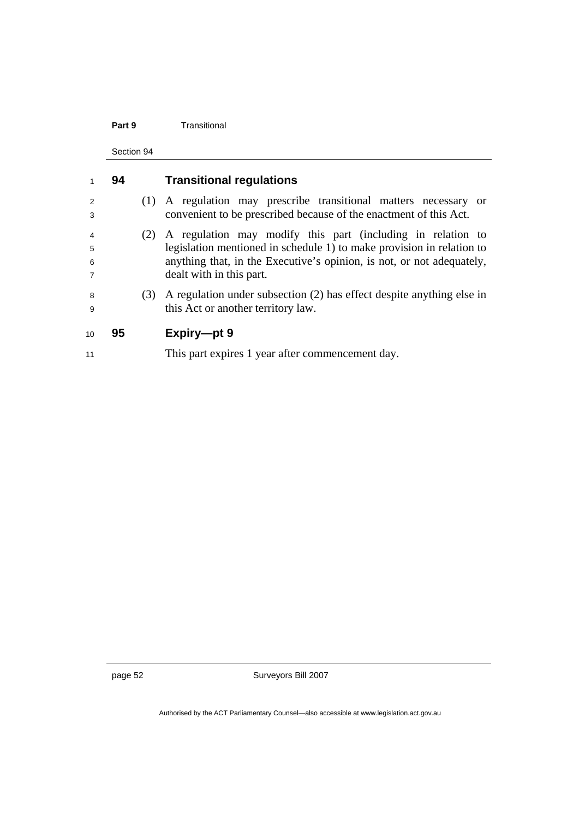#### **Part 9 Transitional**

Section 94

|                                            | 94 |     | <b>Transitional regulations</b>                                                                                                                                                                                                           |
|--------------------------------------------|----|-----|-------------------------------------------------------------------------------------------------------------------------------------------------------------------------------------------------------------------------------------------|
| 2<br>3                                     |    |     | (1) A regulation may prescribe transitional matters necessary or<br>convenient to be prescribed because of the enactment of this Act.                                                                                                     |
| $\overline{4}$<br>5<br>6<br>$\overline{7}$ |    | (2) | A regulation may modify this part (including in relation to<br>legislation mentioned in schedule 1) to make provision in relation to<br>anything that, in the Executive's opinion, is not, or not adequately,<br>dealt with in this part. |
| 8<br>9                                     |    | (3) | A regulation under subsection (2) has effect despite anything else in<br>this Act or another territory law.                                                                                                                               |
| 10                                         | 95 |     | Expiry-pt 9                                                                                                                                                                                                                               |
| 11                                         |    |     | This part expires 1 year after commencement day.                                                                                                                                                                                          |

page 52 Surveyors Bill 2007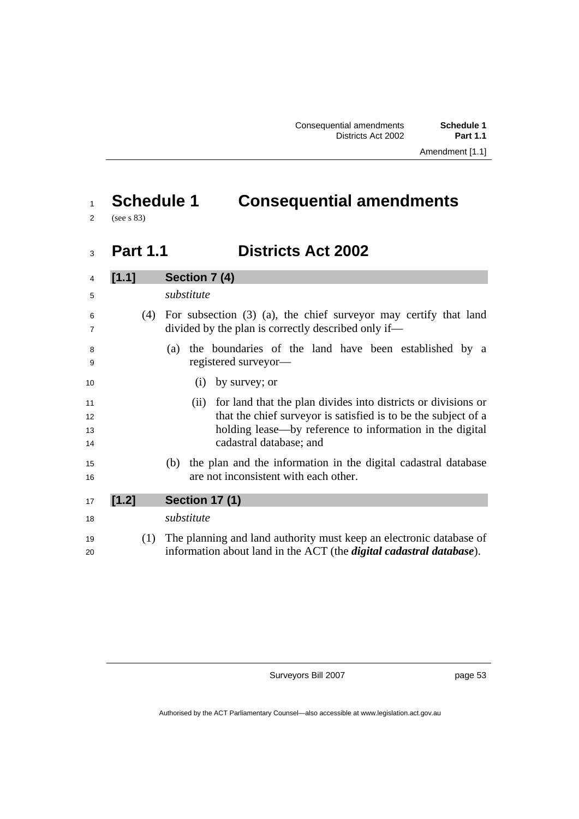# <sup>1</sup>**Schedule 1 Consequential amendments**

2 (see s 83)

### <sup>3</sup>**Part 1.1 Districts Act 2002**

| $\overline{4}$       | [1.1] | Section 7 (4)                                                                                                                                                                                                               |  |  |  |
|----------------------|-------|-----------------------------------------------------------------------------------------------------------------------------------------------------------------------------------------------------------------------------|--|--|--|
| 5                    |       | substitute                                                                                                                                                                                                                  |  |  |  |
| 6<br>7               | (4)   | For subsection $(3)$ $(a)$ , the chief surveyor may certify that land<br>divided by the plan is correctly described only if—                                                                                                |  |  |  |
| 8<br>9               |       | the boundaries of the land have been established by a<br>(a)<br>registered surveyor—                                                                                                                                        |  |  |  |
| 10                   |       | by survey; or<br>(1)                                                                                                                                                                                                        |  |  |  |
| 11<br>12<br>13<br>14 |       | (ii) for land that the plan divides into districts or divisions or<br>that the chief surveyor is satisfied is to be the subject of a<br>holding lease—by reference to information in the digital<br>cadastral database; and |  |  |  |
| 15<br>16             |       | the plan and the information in the digital cadastral database<br>(b)<br>are not inconsistent with each other.                                                                                                              |  |  |  |
| 17                   | [1.2] | <b>Section 17 (1)</b>                                                                                                                                                                                                       |  |  |  |
| 18                   |       | substitute                                                                                                                                                                                                                  |  |  |  |
| 19<br>20             | (1)   | The planning and land authority must keep an electronic database of<br>information about land in the ACT (the <i>digital cadastral database</i> ).                                                                          |  |  |  |

Surveyors Bill 2007

page 53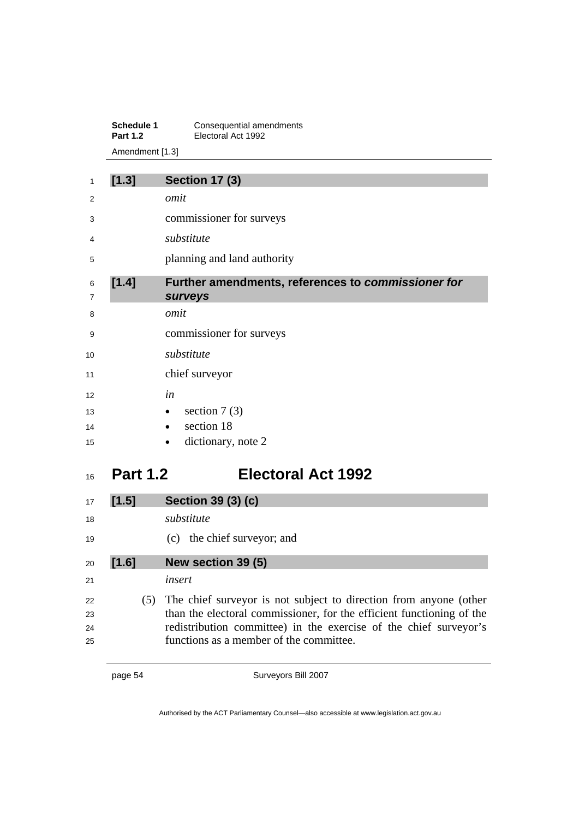**Schedule 1 Consequential amendments Part 1.2** Electoral Act 1992 Amendment [1.3]

| 1      | [1.3] | <b>Section 17 (3)</b>                                                |
|--------|-------|----------------------------------------------------------------------|
| 2      |       | omit                                                                 |
| 3      |       | commissioner for surveys                                             |
| 4      |       | substitute                                                           |
| 5      |       | planning and land authority                                          |
| 6<br>7 | [1.4] | Further amendments, references to commissioner for<br><b>surveys</b> |
| 8      |       | omit                                                                 |
| 9      |       | commissioner for surveys                                             |
| 10     |       | substitute                                                           |
| 11     |       | chief surveyor                                                       |
| 12     |       | in                                                                   |
| 13     |       | section $7(3)$<br>$\bullet$                                          |
| 14     |       | section 18<br>$\bullet$                                              |
| 15     |       | dictionary, note 2                                                   |

# **Part 1.2 Electoral Act 1992**

| 17 | [1.5] | Section 39 (3) (c)                                                    |
|----|-------|-----------------------------------------------------------------------|
| 18 |       | substitute                                                            |
| 19 |       | (c) the chief surveyor; and                                           |
| 20 | [1.6] | New section 39 (5)                                                    |
| 21 |       | insert                                                                |
| 22 | (5)   | The chief surveyor is not subject to direction from anyone (other     |
| 23 |       | than the electoral commissioner, for the efficient functioning of the |
| 24 |       | redistribution committee) in the exercise of the chief surveyor's     |
| 25 |       | functions as a member of the committee.                               |

page 54 Surveyors Bill 2007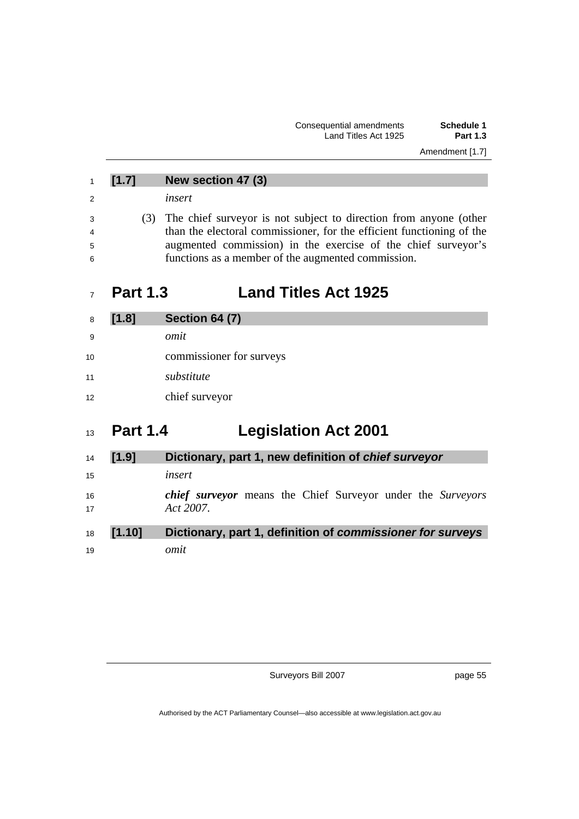|                | [1.7]           | New section 47 (3)                                                    |
|----------------|-----------------|-----------------------------------------------------------------------|
| $\overline{2}$ |                 | insert                                                                |
| 3              | (3)             | The chief surveyor is not subject to direction from anyone (other     |
| $\overline{4}$ |                 | than the electoral commissioner, for the efficient functioning of the |
| 5              |                 | augmented commission) in the exercise of the chief surveyor's         |
| -6             |                 | functions as a member of the augmented commission.                    |
|                |                 |                                                                       |
|                | <b>Part 1.3</b> | <b>Land Titles Act 1925</b>                                           |
| 8              | [1.8]           | <b>Section 64 (7)</b>                                                 |

- *omit*  10 commissioner for surveys *substitute*
- 12 chief surveyor

# **Part 1.4 Legislation Act 2001**

| 14              | [1.9]  | Dictionary, part 1, new definition of chief surveyor                            |  |  |  |  |
|-----------------|--------|---------------------------------------------------------------------------------|--|--|--|--|
| 15              |        | insert                                                                          |  |  |  |  |
| 16<br>17        |        | <i>chief surveyor</i> means the Chief Surveyor under the Surveyors<br>Act 2007. |  |  |  |  |
| 18 <sup>1</sup> | [1.10] | Dictionary, part 1, definition of commissioner for surveys                      |  |  |  |  |
| 19              |        | omit                                                                            |  |  |  |  |

Surveyors Bill 2007

page 55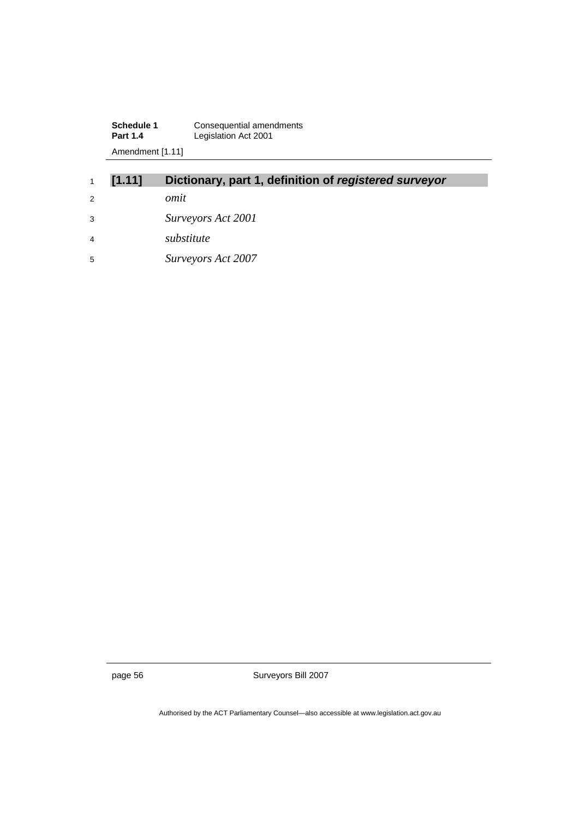**Schedule 1 Consequential amendments Part 1.4** Legislation Act 2001 Amendment [1.11]

| 1              | [1.11] | Dictionary, part 1, definition of registered surveyor |
|----------------|--------|-------------------------------------------------------|
| 2              |        | omit                                                  |
| 3              |        | Surveyors Act 2001                                    |
| $\overline{4}$ |        | substitute                                            |
| 5              |        | Surveyors Act 2007                                    |

page 56 Surveyors Bill 2007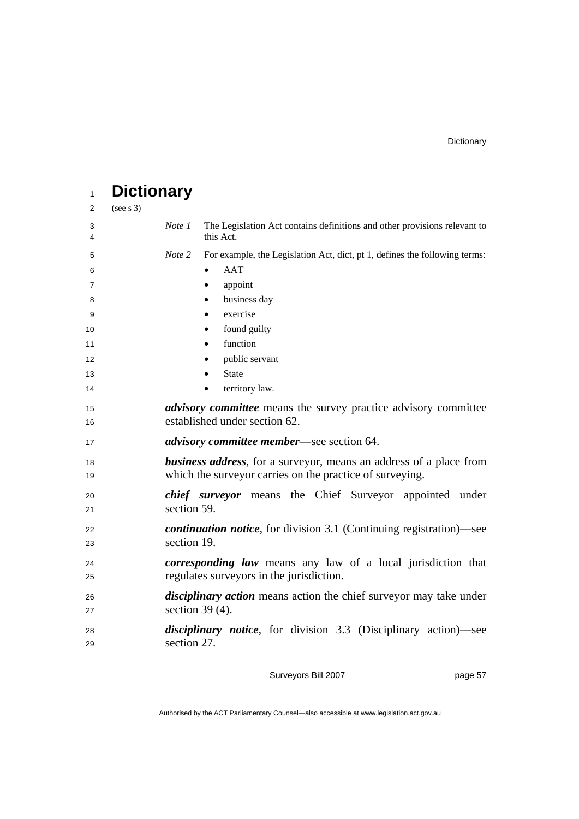| 1                   | <b>Dictionary</b> |                    |                                                                                                                                        |
|---------------------|-------------------|--------------------|----------------------------------------------------------------------------------------------------------------------------------------|
| 2                   | (see s 3)         |                    |                                                                                                                                        |
| 3<br>4              |                   | Note 1             | The Legislation Act contains definitions and other provisions relevant to<br>this Act.                                                 |
| 5                   |                   | Note 2             | For example, the Legislation Act, dict, pt 1, defines the following terms:                                                             |
| 6<br>$\overline{7}$ |                   |                    | AAT<br>appoint<br>$\bullet$                                                                                                            |
| 8                   |                   |                    | business day                                                                                                                           |
| 9                   |                   |                    | exercise                                                                                                                               |
| 10                  |                   |                    | found guilty                                                                                                                           |
| 11                  |                   |                    | function                                                                                                                               |
| 12                  |                   |                    | public servant                                                                                                                         |
| 13                  |                   |                    | <b>State</b>                                                                                                                           |
| 14                  |                   |                    | territory law.                                                                                                                         |
| 15<br>16            |                   |                    | <i>advisory committee</i> means the survey practice advisory committee<br>established under section 62.                                |
| 17                  |                   |                    | <i>advisory committee member—see section 64.</i>                                                                                       |
| 18<br>19            |                   |                    | <b>business address</b> , for a surveyor, means an address of a place from<br>which the surveyor carries on the practice of surveying. |
| 20                  |                   |                    | <i>chief surveyor</i> means the Chief Surveyor appointed under                                                                         |
| 21                  |                   | section 59.        |                                                                                                                                        |
| 22                  |                   |                    | <i>continuation notice</i> , for division 3.1 (Continuing registration)—see                                                            |
| 23                  |                   | section 19.        |                                                                                                                                        |
| 24<br>25            |                   |                    | corresponding law means any law of a local jurisdiction that<br>regulates surveyors in the jurisdiction.                               |
| 26                  |                   |                    | <i>disciplinary action</i> means action the chief surveyor may take under                                                              |
| 27                  |                   | section 39 $(4)$ . |                                                                                                                                        |
| 28<br>29            |                   | section 27.        | <i>disciplinary notice</i> , for division 3.3 (Disciplinary action)—see                                                                |

page 57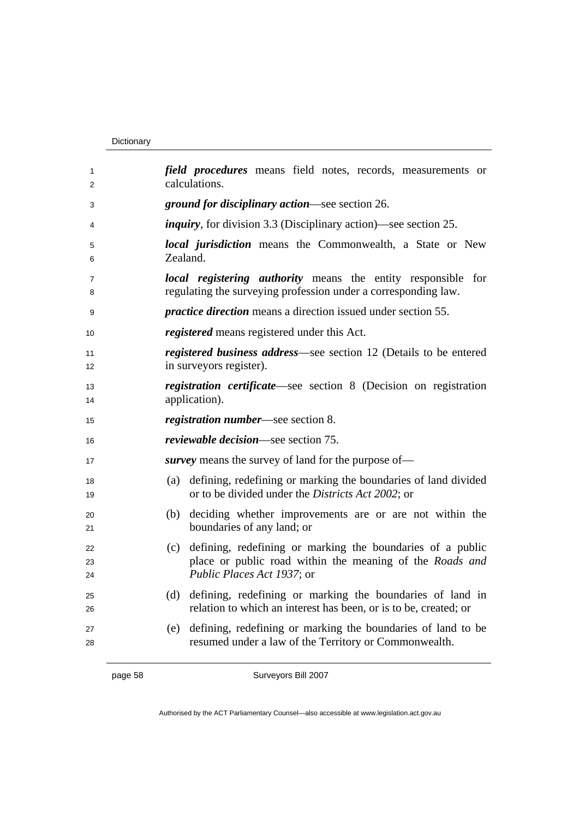#### Dictionary

| 1<br>2         | field procedures means field notes, records, measurements or<br>calculations.                                                                               |  |  |
|----------------|-------------------------------------------------------------------------------------------------------------------------------------------------------------|--|--|
| 3              | <i>ground for disciplinary action—see section 26.</i>                                                                                                       |  |  |
| 4              | <i>inquiry</i> , for division 3.3 (Disciplinary action)—see section 25.                                                                                     |  |  |
| 5<br>6         | <i>local jurisdiction</i> means the Commonwealth, a State or New<br>Zealand.                                                                                |  |  |
| 7<br>8         | <i>local registering authority</i> means the entity responsible for<br>regulating the surveying profession under a corresponding law.                       |  |  |
| 9              | <i>practice direction</i> means a direction issued under section 55.                                                                                        |  |  |
| 10             | <i>registered</i> means registered under this Act.                                                                                                          |  |  |
| 11<br>12       | registered business address—see section 12 (Details to be entered<br>in surveyors register).                                                                |  |  |
| 13<br>14       | registration certificate—see section 8 (Decision on registration<br>application).                                                                           |  |  |
| 15             | <i>registration number</i> —see section 8.                                                                                                                  |  |  |
| 16             | <i>reviewable decision</i> —see section 75.                                                                                                                 |  |  |
| 17             | <i>survey</i> means the survey of land for the purpose of—                                                                                                  |  |  |
| 18<br>19       | defining, redefining or marking the boundaries of land divided<br>(a)<br>or to be divided under the Districts Act 2002; or                                  |  |  |
| 20<br>21       | (b) deciding whether improvements are or are not within the<br>boundaries of any land; or                                                                   |  |  |
| 22<br>23<br>24 | defining, redefining or marking the boundaries of a public<br>(c)<br>place or public road within the meaning of the Roads and<br>Public Places Act 1937; or |  |  |
| 25<br>26       | (d) defining, redefining or marking the boundaries of land in<br>relation to which an interest has been, or is to be, created; or                           |  |  |
| 27<br>28       | defining, redefining or marking the boundaries of land to be<br>(e)<br>resumed under a law of the Territory or Commonwealth.                                |  |  |

Authorised by the ACT Parliamentary Counsel—also accessible at www.legislation.act.gov.au